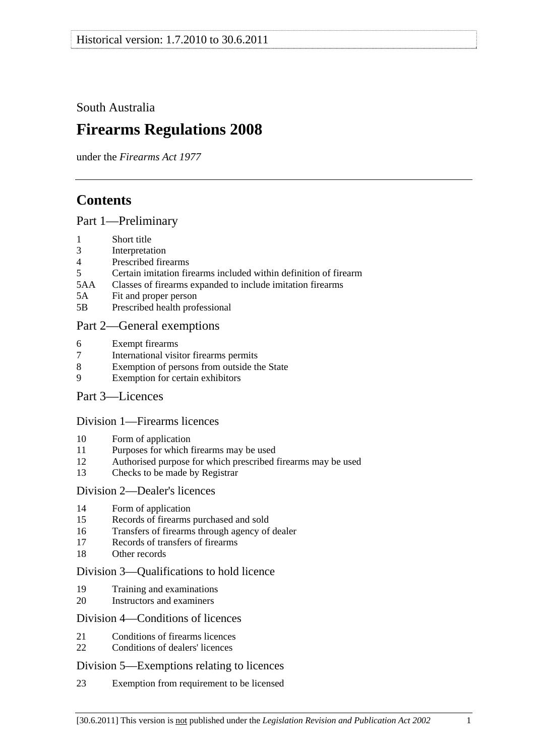<span id="page-0-0"></span>South Australia

# **Firearms Regulations 2008**

under the *Firearms Act 1977*

# **Contents**

[Part 1—Preliminary](#page-2-0)

- [1 Short title](#page-2-0)
- [3 Interpretation](#page-2-0)
- [4 Prescribed firearms](#page-3-0)
- [5 Certain imitation firearms included within definition of firearm](#page-3-0)
- [5AA Classes of firearms expanded to include imitation firearms](#page-4-0)
- [5A Fit and proper person](#page-4-0)
- [5B Prescribed health professional](#page-5-0)

# [Part 2—General exemptions](#page-5-0)

- [6 Exempt firearms](#page-5-0)
- [7 International visitor firearms permits](#page-6-0)
- [8 Exemption of persons from outside the State](#page-7-0)
- [9 Exemption for certain exhibitors](#page-7-0)
- [Part 3—Licences](#page-8-0)

# [Division 1—Firearms licences](#page-8-0)

- [10 Form of application](#page-8-0)
- [11 Purposes for which firearms may be used](#page-8-0)
- [12 Authorised purpose for which prescribed firearms may be used](#page-9-0)
- [13 Checks to be made by Registrar](#page-9-0)

# [Division 2—Dealer's licences](#page-9-0)

- [14 Form of application](#page-9-0)
- [15 Records of firearms purchased and sold](#page-9-0)
- [16 Transfers of firearms through agency of dealer](#page-9-0)
- [17 Records of transfers of firearms](#page-10-0)
- [18 Other records](#page-10-0)

# [Division 3—Qualifications to hold licence](#page-10-0)

- [19 Training and examinations](#page-10-0)
- [20 Instructors and examiners](#page-11-0)

# [Division 4—Conditions of licences](#page-11-0)

- [21 Conditions of firearms licences](#page-11-0)
- [22 Conditions of dealers' licences](#page-14-0)

# [Division 5—Exemptions relating to licences](#page-16-0)

[23 Exemption from requirement to be licensed](#page-16-0)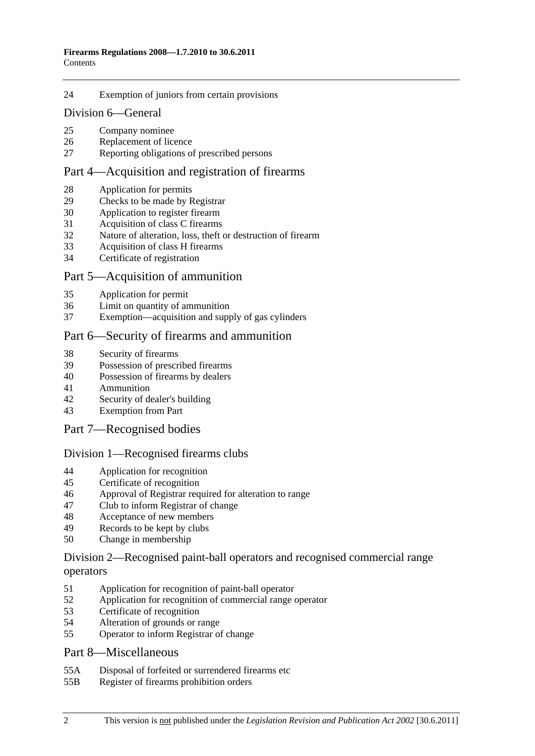#### [24 Exemption of juniors from certain provisions](#page-17-0)

#### [Division 6—General](#page-18-0)

- [25 Company nominee](#page-18-0)
- [26 Replacement of licence](#page-18-0)
- [27 Reporting obligations of prescribed persons](#page-18-0)

# [Part 4—Acquisition and registration of firearms](#page-18-0)

- [28 Application for permits](#page-18-0)
- [29 Checks to be made by Registrar](#page-19-0)
- [30 Application to register firearm](#page-19-0)
- [31 Acquisition of class C firearms](#page-19-0)
- [32 Nature of alteration, loss, theft or destruction of firearm](#page-19-0)
- [33 Acquisition of class H firearms](#page-19-0)
- [34 Certificate of registration](#page-20-0)

#### [Part 5—Acquisition of ammunition](#page-20-0)

- [35 Application for permit](#page-20-0)
- [36 Limit on quantity of ammunition](#page-20-0)
- [37 Exemption—acquisition and supply of gas cylinders](#page-21-0)

#### [Part 6—Security of firearms and ammunition](#page-21-0)

- [38 Security of firearms](#page-21-0)
- [39 Possession of prescribed firearms](#page-21-0)
- [40 Possession of firearms by dealers](#page-21-0)
- [41 Ammunition](#page-22-0)
- [42 Security of dealer's building](#page-22-0)
- [43 Exemption from Part](#page-22-0)

#### [Part 7—Recognised bodies](#page-22-0)

#### [Division 1—Recognised firearms clubs](#page-22-0)

- [44 Application for recognition](#page-22-0)
- [45 Certificate of recognition](#page-23-0)
- [46 Approval of Registrar required for alteration to range](#page-23-0)
- [47 Club to inform Registrar of change](#page-23-0)
- [48 Acceptance of new members](#page-24-0)
- [49 Records to be kept by clubs](#page-24-0)
- [50 Change in membership](#page-24-0)

#### [Division 2—Recognised paint-ball operators and recognised commercial range](#page-25-0)  [operators](#page-25-0)

- [51 Application for recognition of paint-ball operator](#page-25-0)
- [52 Application for recognition of commercial range operator](#page-25-0)
- [53 Certificate of recognition](#page-26-0)
- [54 Alteration of grounds or range](#page-26-0)
- [55 Operator to inform Registrar of change](#page-26-0)

#### [Part 8—Miscellaneous](#page-27-0)

- [55A Disposal of forfeited or surrendered firearms etc](#page-27-0)
- [55B Register of firearms prohibition orders](#page-27-0)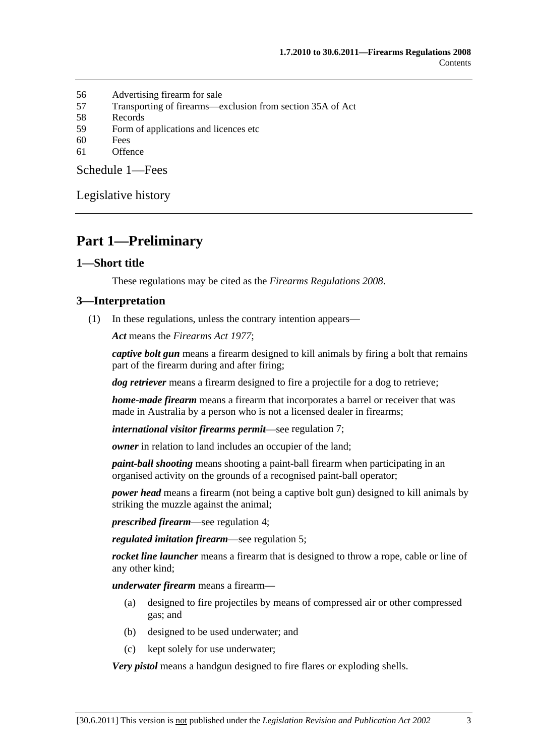- <span id="page-2-0"></span>[56 Advertising firearm for sale](#page-27-0)
- [57 Transporting of firearms—exclusion from section 35A of Act](#page-27-0)
- [58 Records](#page-28-0)
- [59 Form of applications and licences etc](#page-28-0)
- [60 Fees](#page-28-0)
- [61 Offence](#page-28-0)

[Schedule 1—Fees](#page-28-0) 

[Legislative history](#page-30-0) 

# **Part 1—Preliminary**

#### **1—Short title**

These regulations may be cited as the *Firearms Regulations 2008*.

#### **3—Interpretation**

(1) In these regulations, unless the contrary intention appears—

*Act* means the *[Firearms Act 1977](http://www.legislation.sa.gov.au/index.aspx?action=legref&type=act&legtitle=Firearms%20Act%201977)*;

*captive bolt gun* means a firearm designed to kill animals by firing a bolt that remains part of the firearm during and after firing;

*dog retriever* means a firearm designed to fire a projectile for a dog to retrieve;

*home-made firearm* means a firearm that incorporates a barrel or receiver that was made in Australia by a person who is not a licensed dealer in firearms;

*international visitor firearms permit*—see [regulation 7;](#page-6-0)

*owner* in relation to land includes an occupier of the land;

*paint-ball shooting* means shooting a paint-ball firearm when participating in an organised activity on the grounds of a recognised paint-ball operator;

*power head* means a firearm (not being a captive bolt gun) designed to kill animals by striking the muzzle against the animal;

*prescribed firearm*—see [regulation 4;](#page-3-0)

*regulated imitation firearm*—see [regulation 5](#page-0-0);

*rocket line launcher* means a firearm that is designed to throw a rope, cable or line of any other kind;

*underwater firearm* means a firearm—

- (a) designed to fire projectiles by means of compressed air or other compressed gas; and
- (b) designed to be used underwater; and
- (c) kept solely for use underwater;

*Very pistol* means a handgun designed to fire flares or exploding shells.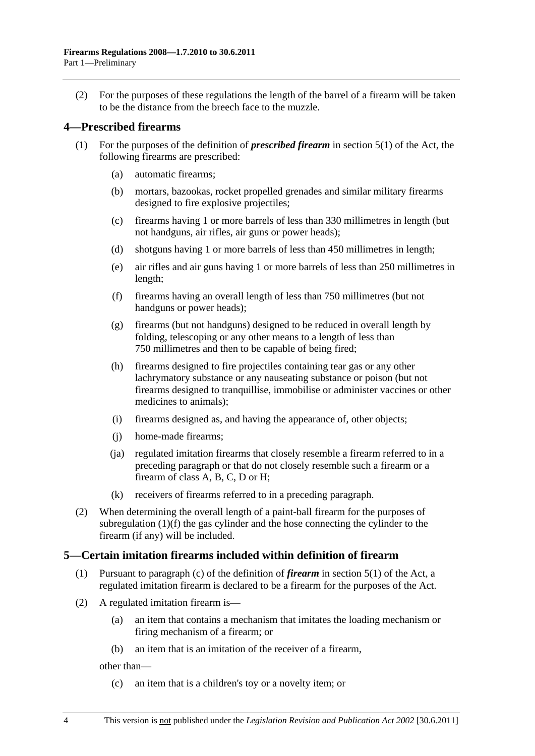<span id="page-3-0"></span> (2) For the purposes of these regulations the length of the barrel of a firearm will be taken to be the distance from the breech face to the muzzle.

### **4—Prescribed firearms**

- (1) For the purposes of the definition of *prescribed firearm* in section 5(1) of the Act, the following firearms are prescribed:
	- (a) automatic firearms;
	- (b) mortars, bazookas, rocket propelled grenades and similar military firearms designed to fire explosive projectiles;
	- (c) firearms having 1 or more barrels of less than 330 millimetres in length (but not handguns, air rifles, air guns or power heads);
	- (d) shotguns having 1 or more barrels of less than 450 millimetres in length;
	- (e) air rifles and air guns having 1 or more barrels of less than 250 millimetres in length;
	- (f) firearms having an overall length of less than 750 millimetres (but not handguns or power heads);
	- (g) firearms (but not handguns) designed to be reduced in overall length by folding, telescoping or any other means to a length of less than 750 millimetres and then to be capable of being fired;
	- (h) firearms designed to fire projectiles containing tear gas or any other lachrymatory substance or any nauseating substance or poison (but not firearms designed to tranquillise, immobilise or administer vaccines or other medicines to animals);
	- (i) firearms designed as, and having the appearance of, other objects;
	- (j) home-made firearms;
	- (ja) regulated imitation firearms that closely resemble a firearm referred to in a preceding paragraph or that do not closely resemble such a firearm or a firearm of class A, B, C, D or H;
	- (k) receivers of firearms referred to in a preceding paragraph.
- (2) When determining the overall length of a paint-ball firearm for the purposes of [subregulation \(1\)\(f\)](#page-3-0) the gas cylinder and the hose connecting the cylinder to the firearm (if any) will be included.

#### **5—Certain imitation firearms included within definition of firearm**

- (1) Pursuant to paragraph (c) of the definition of *firearm* in section 5(1) of the Act, a regulated imitation firearm is declared to be a firearm for the purposes of the Act.
- (2) A regulated imitation firearm is—
	- (a) an item that contains a mechanism that imitates the loading mechanism or firing mechanism of a firearm; or
	- (b) an item that is an imitation of the receiver of a firearm,

other than—

(c) an item that is a children's toy or a novelty item; or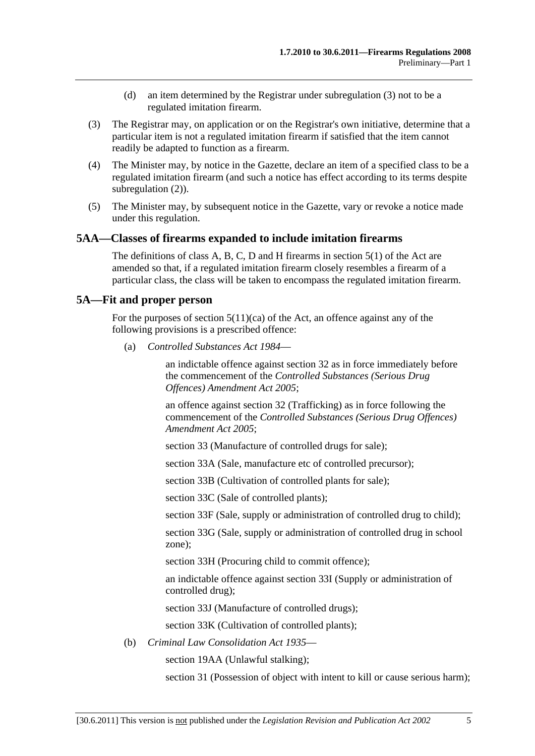- (d) an item determined by the Registrar under [subregulation \(3\)](#page-4-0) not to be a regulated imitation firearm.
- <span id="page-4-0"></span> (3) The Registrar may, on application or on the Registrar's own initiative, determine that a particular item is not a regulated imitation firearm if satisfied that the item cannot readily be adapted to function as a firearm.
- (4) The Minister may, by notice in the Gazette, declare an item of a specified class to be a regulated imitation firearm (and such a notice has effect according to its terms despite subregulation  $(2)$ ).
- (5) The Minister may, by subsequent notice in the Gazette, vary or revoke a notice made under this regulation.

#### **5AA—Classes of firearms expanded to include imitation firearms**

The definitions of class A, B, C, D and H firearms in section 5(1) of the Act are amended so that, if a regulated imitation firearm closely resembles a firearm of a particular class, the class will be taken to encompass the regulated imitation firearm.

#### **5A—Fit and proper person**

For the purposes of section  $5(11)(ca)$  of the Act, an offence against any of the following provisions is a prescribed offence:

(a) *[Controlled Substances Act 1984](http://www.legislation.sa.gov.au/index.aspx?action=legref&type=act&legtitle=Controlled%20Substances%20Act%201984)*—

an indictable offence against section 32 as in force immediately before the commencement of the *[Controlled Substances \(Serious Drug](http://www.legislation.sa.gov.au/index.aspx?action=legref&type=act&legtitle=Controlled%20Substances%20(Serious%20Drug%20Offences)%20Amendment%20Act%202005)  [Offences\) Amendment Act 2005](http://www.legislation.sa.gov.au/index.aspx?action=legref&type=act&legtitle=Controlled%20Substances%20(Serious%20Drug%20Offences)%20Amendment%20Act%202005)*;

an offence against section 32 (Trafficking) as in force following the commencement of the *[Controlled Substances \(Serious Drug Offences\)](http://www.legislation.sa.gov.au/index.aspx?action=legref&type=act&legtitle=Controlled%20Substances%20(Serious%20Drug%20Offences)%20Amendment%20Act%202005)  [Amendment Act 2005](http://www.legislation.sa.gov.au/index.aspx?action=legref&type=act&legtitle=Controlled%20Substances%20(Serious%20Drug%20Offences)%20Amendment%20Act%202005)*;

section 33 (Manufacture of controlled drugs for sale);

section 33A (Sale, manufacture etc of controlled precursor);

section 33B (Cultivation of controlled plants for sale);

section 33C (Sale of controlled plants);

section 33F (Sale, supply or administration of controlled drug to child);

section 33G (Sale, supply or administration of controlled drug in school zone);

section 33H (Procuring child to commit offence);

an indictable offence against section 33I (Supply or administration of controlled drug);

section 33J (Manufacture of controlled drugs);

section 33K (Cultivation of controlled plants);

(b) *[Criminal Law Consolidation Act 1935](http://www.legislation.sa.gov.au/index.aspx?action=legref&type=act&legtitle=Criminal%20Law%20Consolidation%20Act%201935)*—

section 19AA (Unlawful stalking);

section 31 (Possession of object with intent to kill or cause serious harm);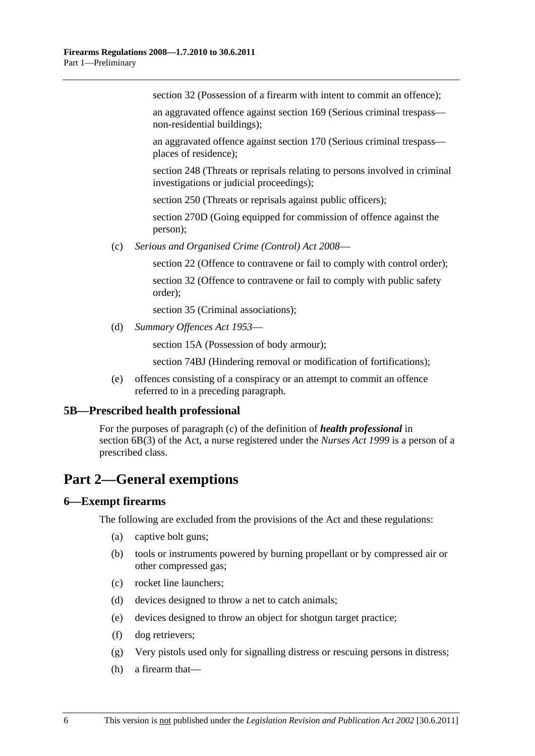<span id="page-5-0"></span>section 32 (Possession of a firearm with intent to commit an offence):

an aggravated offence against section 169 (Serious criminal trespass non-residential buildings);

an aggravated offence against section 170 (Serious criminal trespass places of residence);

section 248 (Threats or reprisals relating to persons involved in criminal investigations or judicial proceedings);

section 250 (Threats or reprisals against public officers);

section 270D (Going equipped for commission of offence against the person);

(c) *[Serious and Organised Crime \(Control\) Act 2008](http://www.legislation.sa.gov.au/index.aspx?action=legref&type=act&legtitle=Serious%20and%20Organised%20Crime%20(Control)%20Act%202008)*—

section 22 (Offence to contravene or fail to comply with control order);

section 32 (Offence to contravene or fail to comply with public safety order);

section 35 (Criminal associations):

(d) *[Summary Offences Act 1953](http://www.legislation.sa.gov.au/index.aspx?action=legref&type=act&legtitle=Summary%20Offences%20Act%201953)*—

section 15A (Possession of body armour);

section 74BJ (Hindering removal or modification of fortifications);

 (e) offences consisting of a conspiracy or an attempt to commit an offence referred to in a preceding paragraph.

#### **5B—Prescribed health professional**

For the purposes of paragraph (c) of the definition of *health professional* in section 6B(3) of the Act, a nurse registered under the *[Nurses Act 1999](http://www.legislation.sa.gov.au/index.aspx?action=legref&type=act&legtitle=Nurses%20Act%201999)* is a person of a prescribed class.

# **Part 2—General exemptions**

# **6—Exempt firearms**

The following are excluded from the provisions of the Act and these regulations:

- (a) captive bolt guns;
- (b) tools or instruments powered by burning propellant or by compressed air or other compressed gas;
- (c) rocket line launchers;
- (d) devices designed to throw a net to catch animals;
- (e) devices designed to throw an object for shotgun target practice;
- (f) dog retrievers;
- (g) Very pistols used only for signalling distress or rescuing persons in distress;
- (h) a firearm that—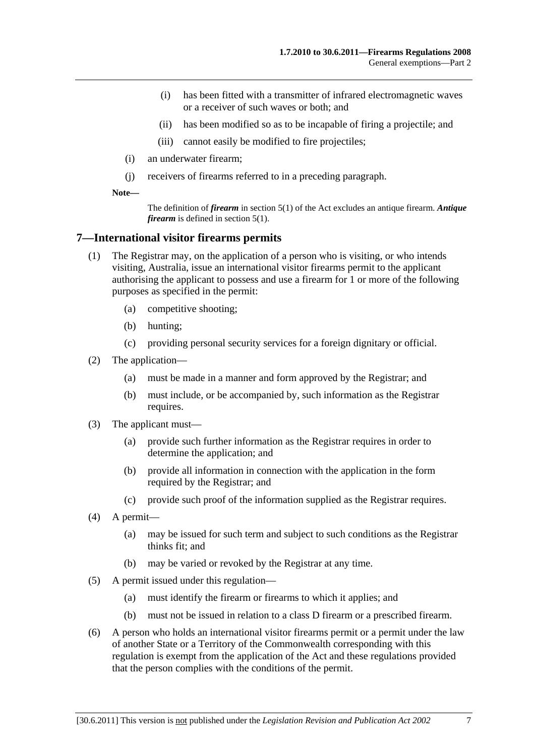- <span id="page-6-0"></span> (i) has been fitted with a transmitter of infrared electromagnetic waves or a receiver of such waves or both; and
- (ii) has been modified so as to be incapable of firing a projectile; and
- (iii) cannot easily be modified to fire projectiles;
- (i) an underwater firearm;
- (j) receivers of firearms referred to in a preceding paragraph.

**Note—** 

The definition of *firearm* in section 5(1) of the Act excludes an antique firearm. *Antique firearm* is defined in section 5(1).

#### **7—International visitor firearms permits**

- (1) The Registrar may, on the application of a person who is visiting, or who intends visiting, Australia, issue an international visitor firearms permit to the applicant authorising the applicant to possess and use a firearm for 1 or more of the following purposes as specified in the permit:
	- (a) competitive shooting;
	- (b) hunting;
	- (c) providing personal security services for a foreign dignitary or official.
- (2) The application—
	- (a) must be made in a manner and form approved by the Registrar; and
	- (b) must include, or be accompanied by, such information as the Registrar requires.
- (3) The applicant must—
	- (a) provide such further information as the Registrar requires in order to determine the application; and
	- (b) provide all information in connection with the application in the form required by the Registrar; and
	- (c) provide such proof of the information supplied as the Registrar requires.
- (4) A permit—
	- (a) may be issued for such term and subject to such conditions as the Registrar thinks fit; and
	- (b) may be varied or revoked by the Registrar at any time.
- (5) A permit issued under this regulation—
	- (a) must identify the firearm or firearms to which it applies; and
	- (b) must not be issued in relation to a class D firearm or a prescribed firearm.
- (6) A person who holds an international visitor firearms permit or a permit under the law of another State or a Territory of the Commonwealth corresponding with this regulation is exempt from the application of the Act and these regulations provided that the person complies with the conditions of the permit.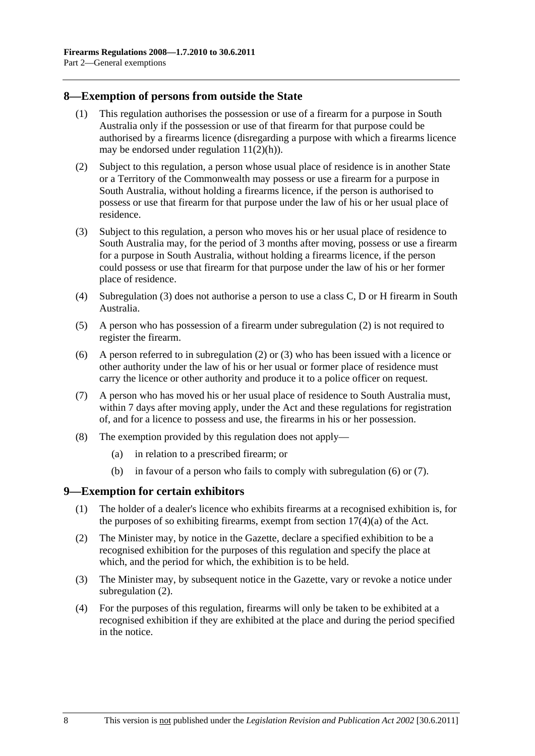### <span id="page-7-0"></span>**8—Exemption of persons from outside the State**

- (1) This regulation authorises the possession or use of a firearm for a purpose in South Australia only if the possession or use of that firearm for that purpose could be authorised by a firearms licence (disregarding a purpose with which a firearms licence may be endorsed under regulation  $11(2)(h)$ ).
- (2) Subject to this regulation, a person whose usual place of residence is in another State or a Territory of the Commonwealth may possess or use a firearm for a purpose in South Australia, without holding a firearms licence, if the person is authorised to possess or use that firearm for that purpose under the law of his or her usual place of residence.
- (3) Subject to this regulation, a person who moves his or her usual place of residence to South Australia may, for the period of 3 months after moving, possess or use a firearm for a purpose in South Australia, without holding a firearms licence, if the person could possess or use that firearm for that purpose under the law of his or her former place of residence.
- (4) [Subregulation \(3\)](#page-7-0) does not authorise a person to use a class C, D or H firearm in South Australia.
- (5) A person who has possession of a firearm under [subregulation \(2\)](#page-7-0) is not required to register the firearm.
- (6) A person referred to in [subregulation \(2\)](#page-7-0) or [\(3\)](#page-7-0) who has been issued with a licence or other authority under the law of his or her usual or former place of residence must carry the licence or other authority and produce it to a police officer on request.
- (7) A person who has moved his or her usual place of residence to South Australia must, within 7 days after moving apply, under the Act and these regulations for registration of, and for a licence to possess and use, the firearms in his or her possession.
- (8) The exemption provided by this regulation does not apply—
	- (a) in relation to a prescribed firearm; or
	- (b) in favour of a person who fails to comply with [subregulation \(6\)](#page-7-0) or [\(7\).](#page-7-0)

#### **9—Exemption for certain exhibitors**

- (1) The holder of a dealer's licence who exhibits firearms at a recognised exhibition is, for the purposes of so exhibiting firearms, exempt from section  $17(4)(a)$  of the Act.
- (2) The Minister may, by notice in the Gazette, declare a specified exhibition to be a recognised exhibition for the purposes of this regulation and specify the place at which, and the period for which, the exhibition is to be held.
- (3) The Minister may, by subsequent notice in the Gazette, vary or revoke a notice under [subregulation \(2\).](#page-7-0)
- (4) For the purposes of this regulation, firearms will only be taken to be exhibited at a recognised exhibition if they are exhibited at the place and during the period specified in the notice.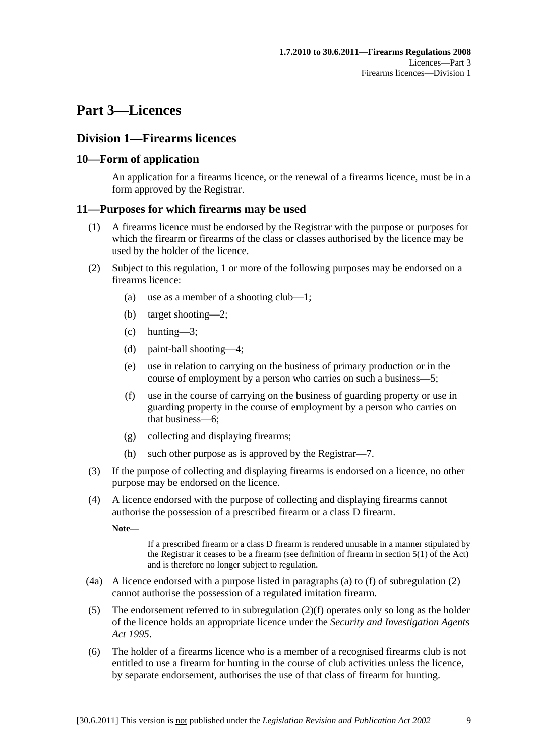# <span id="page-8-0"></span>**Part 3—Licences**

# **Division 1—Firearms licences**

# **10—Form of application**

An application for a firearms licence, or the renewal of a firearms licence, must be in a form approved by the Registrar.

#### **11—Purposes for which firearms may be used**

- (1) A firearms licence must be endorsed by the Registrar with the purpose or purposes for which the firearm or firearms of the class or classes authorised by the licence may be used by the holder of the licence.
- (2) Subject to this regulation, 1 or more of the following purposes may be endorsed on a firearms licence:
	- (a) use as a member of a shooting club—1;
	- (b) target shooting—2;
	- (c) hunting—3;
	- (d) paint-ball shooting—4;
	- (e) use in relation to carrying on the business of primary production or in the course of employment by a person who carries on such a business—5;
	- (f) use in the course of carrying on the business of guarding property or use in guarding property in the course of employment by a person who carries on that business—6;
	- (g) collecting and displaying firearms;
	- (h) such other purpose as is approved by the Registrar—7.
- (3) If the purpose of collecting and displaying firearms is endorsed on a licence, no other purpose may be endorsed on the licence.
- (4) A licence endorsed with the purpose of collecting and displaying firearms cannot authorise the possession of a prescribed firearm or a class D firearm.

**Note—** 

If a prescribed firearm or a class D firearm is rendered unusable in a manner stipulated by the Registrar it ceases to be a firearm (see definition of firearm in section 5(1) of the Act) and is therefore no longer subject to regulation.

- (4a) A licence endorsed with a purpose listed in paragraphs [\(a\)](#page-8-0) to [\(f\)](#page-8-0) of [subregulation \(2\)](#page-8-0)  cannot authorise the possession of a regulated imitation firearm.
- (5) The endorsement referred to in [subregulation \(2\)\(f\)](#page-8-0) operates only so long as the holder of the licence holds an appropriate licence under the *[Security and Investigation Agents](http://www.legislation.sa.gov.au/index.aspx?action=legref&type=act&legtitle=Security%20and%20Investigation%20Agents%20Act%201995)  [Act 1995](http://www.legislation.sa.gov.au/index.aspx?action=legref&type=act&legtitle=Security%20and%20Investigation%20Agents%20Act%201995)*.
- (6) The holder of a firearms licence who is a member of a recognised firearms club is not entitled to use a firearm for hunting in the course of club activities unless the licence, by separate endorsement, authorises the use of that class of firearm for hunting.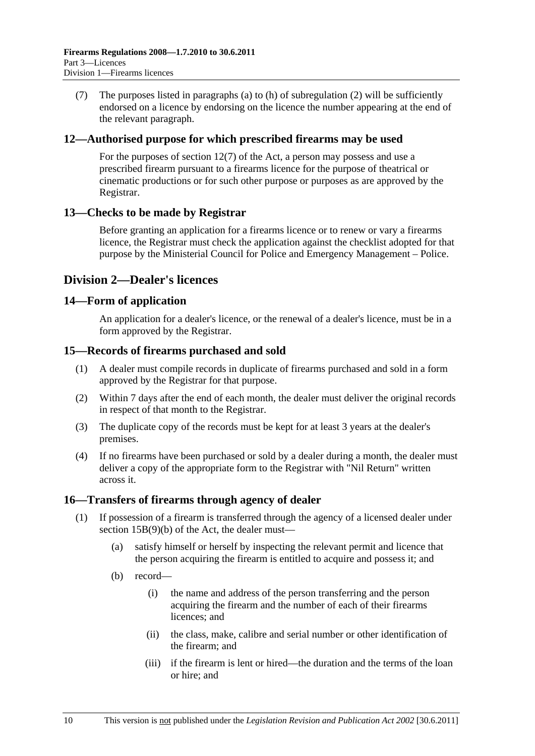<span id="page-9-0"></span> (7) The purposes listed in [paragraphs \(a\)](#page-8-0) to [\(h\)](#page-8-0) of [subregulation \(2\)](#page-8-0) will be sufficiently endorsed on a licence by endorsing on the licence the number appearing at the end of the relevant paragraph.

### **12—Authorised purpose for which prescribed firearms may be used**

For the purposes of section 12(7) of the Act, a person may possess and use a prescribed firearm pursuant to a firearms licence for the purpose of theatrical or cinematic productions or for such other purpose or purposes as are approved by the Registrar.

#### **13—Checks to be made by Registrar**

Before granting an application for a firearms licence or to renew or vary a firearms licence, the Registrar must check the application against the checklist adopted for that purpose by the Ministerial Council for Police and Emergency Management – Police.

# **Division 2—Dealer's licences**

#### **14—Form of application**

An application for a dealer's licence, or the renewal of a dealer's licence, must be in a form approved by the Registrar.

#### **15—Records of firearms purchased and sold**

- (1) A dealer must compile records in duplicate of firearms purchased and sold in a form approved by the Registrar for that purpose.
- (2) Within 7 days after the end of each month, the dealer must deliver the original records in respect of that month to the Registrar.
- (3) The duplicate copy of the records must be kept for at least 3 years at the dealer's premises.
- (4) If no firearms have been purchased or sold by a dealer during a month, the dealer must deliver a copy of the appropriate form to the Registrar with "Nil Return" written across it.

# **16—Transfers of firearms through agency of dealer**

- (1) If possession of a firearm is transferred through the agency of a licensed dealer under section 15B(9)(b) of the Act, the dealer must—
	- (a) satisfy himself or herself by inspecting the relevant permit and licence that the person acquiring the firearm is entitled to acquire and possess it; and
	- (b) record—
		- (i) the name and address of the person transferring and the person acquiring the firearm and the number of each of their firearms licences; and
		- (ii) the class, make, calibre and serial number or other identification of the firearm; and
		- (iii) if the firearm is lent or hired—the duration and the terms of the loan or hire; and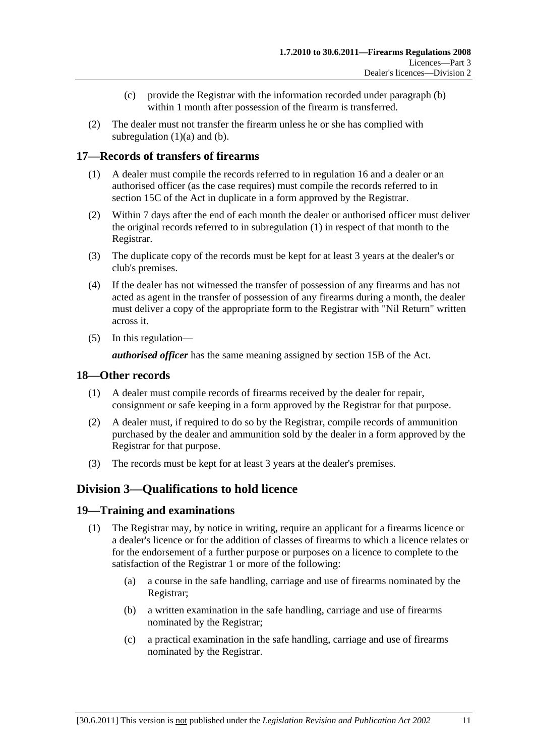- (c) provide the Registrar with the information recorded under [paragraph \(b\)](#page-9-0) within 1 month after possession of the firearm is transferred.
- <span id="page-10-0"></span> (2) The dealer must not transfer the firearm unless he or she has complied with subregulation  $(1)(a)$  and  $(b)$ .

# **17—Records of transfers of firearms**

- (1) A dealer must compile the records referred to in [regulation 16](#page-9-0) and a dealer or an authorised officer (as the case requires) must compile the records referred to in section 15C of the Act in duplicate in a form approved by the Registrar.
- (2) Within 7 days after the end of each month the dealer or authorised officer must deliver the original records referred to in [subregulation \(1\)](#page-10-0) in respect of that month to the Registrar.
- (3) The duplicate copy of the records must be kept for at least 3 years at the dealer's or club's premises.
- (4) If the dealer has not witnessed the transfer of possession of any firearms and has not acted as agent in the transfer of possession of any firearms during a month, the dealer must deliver a copy of the appropriate form to the Registrar with "Nil Return" written across it.
- (5) In this regulation—

*authorised officer* has the same meaning assigned by section 15B of the Act.

### **18—Other records**

- (1) A dealer must compile records of firearms received by the dealer for repair, consignment or safe keeping in a form approved by the Registrar for that purpose.
- (2) A dealer must, if required to do so by the Registrar, compile records of ammunition purchased by the dealer and ammunition sold by the dealer in a form approved by the Registrar for that purpose.
- (3) The records must be kept for at least 3 years at the dealer's premises.

# **Division 3—Qualifications to hold licence**

# **19—Training and examinations**

- (1) The Registrar may, by notice in writing, require an applicant for a firearms licence or a dealer's licence or for the addition of classes of firearms to which a licence relates or for the endorsement of a further purpose or purposes on a licence to complete to the satisfaction of the Registrar 1 or more of the following:
	- (a) a course in the safe handling, carriage and use of firearms nominated by the Registrar;
	- (b) a written examination in the safe handling, carriage and use of firearms nominated by the Registrar;
	- (c) a practical examination in the safe handling, carriage and use of firearms nominated by the Registrar.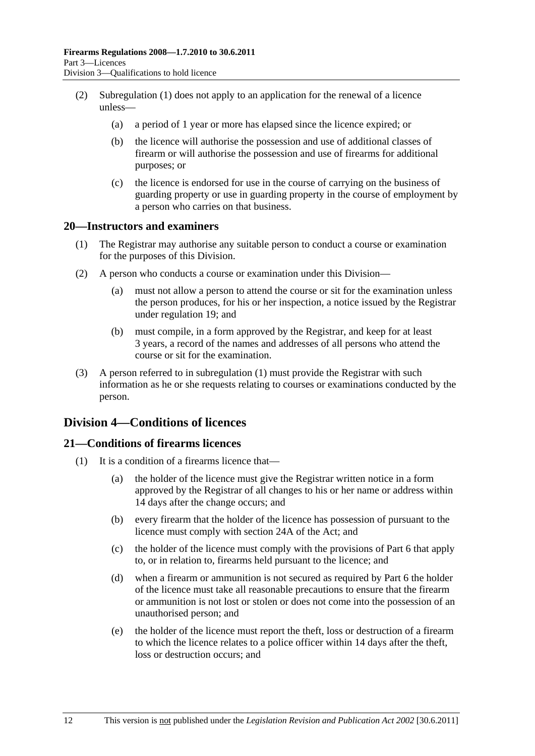- <span id="page-11-0"></span> (2) [Subregulation \(1\)](#page-10-0) does not apply to an application for the renewal of a licence unless—
	- (a) a period of 1 year or more has elapsed since the licence expired; or
	- (b) the licence will authorise the possession and use of additional classes of firearm or will authorise the possession and use of firearms for additional purposes; or
	- (c) the licence is endorsed for use in the course of carrying on the business of guarding property or use in guarding property in the course of employment by a person who carries on that business.

#### **20—Instructors and examiners**

- (1) The Registrar may authorise any suitable person to conduct a course or examination for the purposes of this Division.
- (2) A person who conducts a course or examination under this Division—
	- (a) must not allow a person to attend the course or sit for the examination unless the person produces, for his or her inspection, a notice issued by the Registrar under [regulation 19](#page-10-0); and
	- (b) must compile, in a form approved by the Registrar, and keep for at least 3 years, a record of the names and addresses of all persons who attend the course or sit for the examination.
- (3) A person referred to in [subregulation \(1\)](#page-11-0) must provide the Registrar with such information as he or she requests relating to courses or examinations conducted by the person.

# **Division 4—Conditions of licences**

# **21—Conditions of firearms licences**

- (1) It is a condition of a firearms licence that—
	- (a) the holder of the licence must give the Registrar written notice in a form approved by the Registrar of all changes to his or her name or address within 14 days after the change occurs; and
	- (b) every firearm that the holder of the licence has possession of pursuant to the licence must comply with section 24A of the Act; and
	- (c) the holder of the licence must comply with the provisions of [Part 6](#page-21-0) that apply to, or in relation to, firearms held pursuant to the licence; and
	- (d) when a firearm or ammunition is not secured as required by [Part 6](#page-21-0) the holder of the licence must take all reasonable precautions to ensure that the firearm or ammunition is not lost or stolen or does not come into the possession of an unauthorised person; and
	- (e) the holder of the licence must report the theft, loss or destruction of a firearm to which the licence relates to a police officer within 14 days after the theft, loss or destruction occurs; and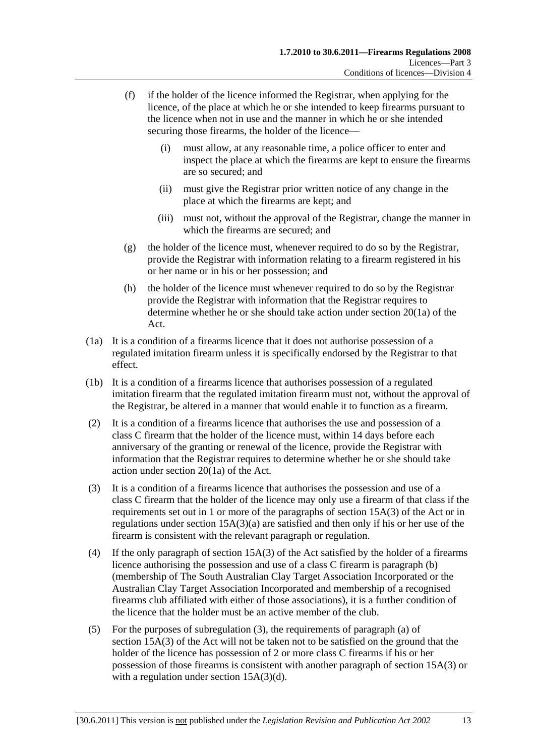- <span id="page-12-0"></span> (f) if the holder of the licence informed the Registrar, when applying for the licence, of the place at which he or she intended to keep firearms pursuant to the licence when not in use and the manner in which he or she intended securing those firearms, the holder of the licence—
	- (i) must allow, at any reasonable time, a police officer to enter and inspect the place at which the firearms are kept to ensure the firearms are so secured; and
	- (ii) must give the Registrar prior written notice of any change in the place at which the firearms are kept; and
	- (iii) must not, without the approval of the Registrar, change the manner in which the firearms are secured; and
- (g) the holder of the licence must, whenever required to do so by the Registrar, provide the Registrar with information relating to a firearm registered in his or her name or in his or her possession; and
- (h) the holder of the licence must whenever required to do so by the Registrar provide the Registrar with information that the Registrar requires to determine whether he or she should take action under section 20(1a) of the Act.
- (1a) It is a condition of a firearms licence that it does not authorise possession of a regulated imitation firearm unless it is specifically endorsed by the Registrar to that effect.
- (1b) It is a condition of a firearms licence that authorises possession of a regulated imitation firearm that the regulated imitation firearm must not, without the approval of the Registrar, be altered in a manner that would enable it to function as a firearm.
- (2) It is a condition of a firearms licence that authorises the use and possession of a class C firearm that the holder of the licence must, within 14 days before each anniversary of the granting or renewal of the licence, provide the Registrar with information that the Registrar requires to determine whether he or she should take action under section 20(1a) of the Act.
- (3) It is a condition of a firearms licence that authorises the possession and use of a class C firearm that the holder of the licence may only use a firearm of that class if the requirements set out in 1 or more of the paragraphs of section 15A(3) of the Act or in regulations under section 15A(3)(a) are satisfied and then only if his or her use of the firearm is consistent with the relevant paragraph or regulation.
- (4) If the only paragraph of section 15A(3) of the Act satisfied by the holder of a firearms licence authorising the possession and use of a class C firearm is paragraph (b) (membership of The South Australian Clay Target Association Incorporated or the Australian Clay Target Association Incorporated and membership of a recognised firearms club affiliated with either of those associations), it is a further condition of the licence that the holder must be an active member of the club.
- (5) For the purposes of [subregulation \(3\),](#page-12-0) the requirements of paragraph (a) of section 15A(3) of the Act will not be taken not to be satisfied on the ground that the holder of the licence has possession of 2 or more class C firearms if his or her possession of those firearms is consistent with another paragraph of section 15A(3) or with a regulation under section 15A(3)(d).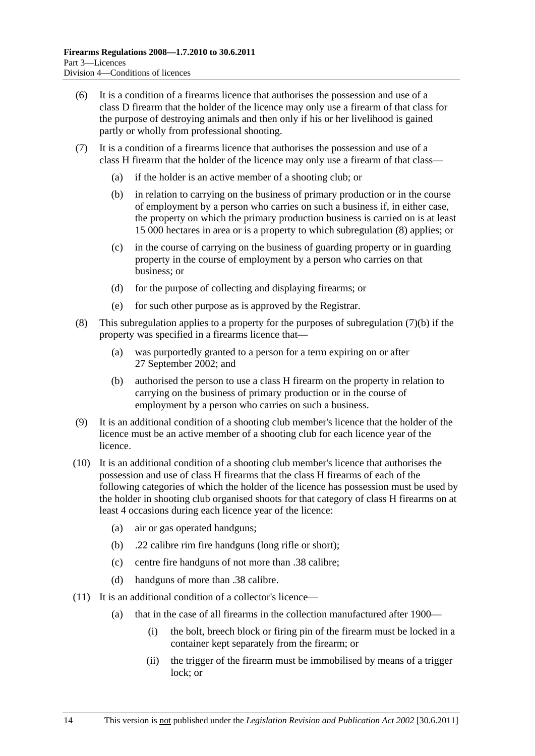- <span id="page-13-0"></span> (6) It is a condition of a firearms licence that authorises the possession and use of a class D firearm that the holder of the licence may only use a firearm of that class for the purpose of destroying animals and then only if his or her livelihood is gained partly or wholly from professional shooting.
- (7) It is a condition of a firearms licence that authorises the possession and use of a class H firearm that the holder of the licence may only use a firearm of that class—
	- (a) if the holder is an active member of a shooting club; or
	- (b) in relation to carrying on the business of primary production or in the course of employment by a person who carries on such a business if, in either case, the property on which the primary production business is carried on is at least 15 000 hectares in area or is a property to which [subregulation \(8\)](#page-13-0) applies; or
	- (c) in the course of carrying on the business of guarding property or in guarding property in the course of employment by a person who carries on that business; or
	- (d) for the purpose of collecting and displaying firearms; or
	- (e) for such other purpose as is approved by the Registrar.
- (8) This subregulation applies to a property for the purposes of [subregulation \(7\)\(b\)](#page-13-0) if the property was specified in a firearms licence that—
	- (a) was purportedly granted to a person for a term expiring on or after 27 September 2002; and
	- (b) authorised the person to use a class H firearm on the property in relation to carrying on the business of primary production or in the course of employment by a person who carries on such a business.
- (9) It is an additional condition of a shooting club member's licence that the holder of the licence must be an active member of a shooting club for each licence year of the licence.
- (10) It is an additional condition of a shooting club member's licence that authorises the possession and use of class H firearms that the class H firearms of each of the following categories of which the holder of the licence has possession must be used by the holder in shooting club organised shoots for that category of class H firearms on at least 4 occasions during each licence year of the licence:
	- (a) air or gas operated handguns;
	- (b) .22 calibre rim fire handguns (long rifle or short);
	- (c) centre fire handguns of not more than .38 calibre;
	- (d) handguns of more than .38 calibre.
- (11) It is an additional condition of a collector's licence—
	- (a) that in the case of all firearms in the collection manufactured after 1900—
		- (i) the bolt, breech block or firing pin of the firearm must be locked in a container kept separately from the firearm; or
		- (ii) the trigger of the firearm must be immobilised by means of a trigger lock; or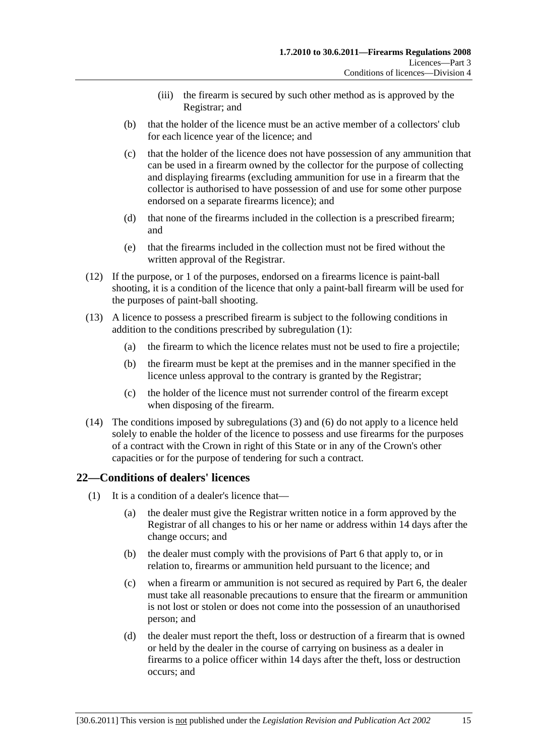- (iii) the firearm is secured by such other method as is approved by the Registrar; and
- <span id="page-14-0"></span> (b) that the holder of the licence must be an active member of a collectors' club for each licence year of the licence; and
- (c) that the holder of the licence does not have possession of any ammunition that can be used in a firearm owned by the collector for the purpose of collecting and displaying firearms (excluding ammunition for use in a firearm that the collector is authorised to have possession of and use for some other purpose endorsed on a separate firearms licence); and
- (d) that none of the firearms included in the collection is a prescribed firearm; and
- (e) that the firearms included in the collection must not be fired without the written approval of the Registrar.
- (12) If the purpose, or 1 of the purposes, endorsed on a firearms licence is paint-ball shooting, it is a condition of the licence that only a paint-ball firearm will be used for the purposes of paint-ball shooting.
- (13) A licence to possess a prescribed firearm is subject to the following conditions in addition to the conditions prescribed by [subregulation \(1\):](#page-11-0)
	- (a) the firearm to which the licence relates must not be used to fire a projectile;
	- (b) the firearm must be kept at the premises and in the manner specified in the licence unless approval to the contrary is granted by the Registrar;
	- (c) the holder of the licence must not surrender control of the firearm except when disposing of the firearm.
- (14) The conditions imposed by [subregulations \(3\)](#page-12-0) and [\(6\)](#page-13-0) do not apply to a licence held solely to enable the holder of the licence to possess and use firearms for the purposes of a contract with the Crown in right of this State or in any of the Crown's other capacities or for the purpose of tendering for such a contract.

# **22—Conditions of dealers' licences**

- (1) It is a condition of a dealer's licence that—
	- (a) the dealer must give the Registrar written notice in a form approved by the Registrar of all changes to his or her name or address within 14 days after the change occurs; and
	- (b) the dealer must comply with the provisions of [Part 6](#page-21-0) that apply to, or in relation to, firearms or ammunition held pursuant to the licence; and
	- (c) when a firearm or ammunition is not secured as required by [Part 6](#page-21-0), the dealer must take all reasonable precautions to ensure that the firearm or ammunition is not lost or stolen or does not come into the possession of an unauthorised person; and
	- (d) the dealer must report the theft, loss or destruction of a firearm that is owned or held by the dealer in the course of carrying on business as a dealer in firearms to a police officer within 14 days after the theft, loss or destruction occurs; and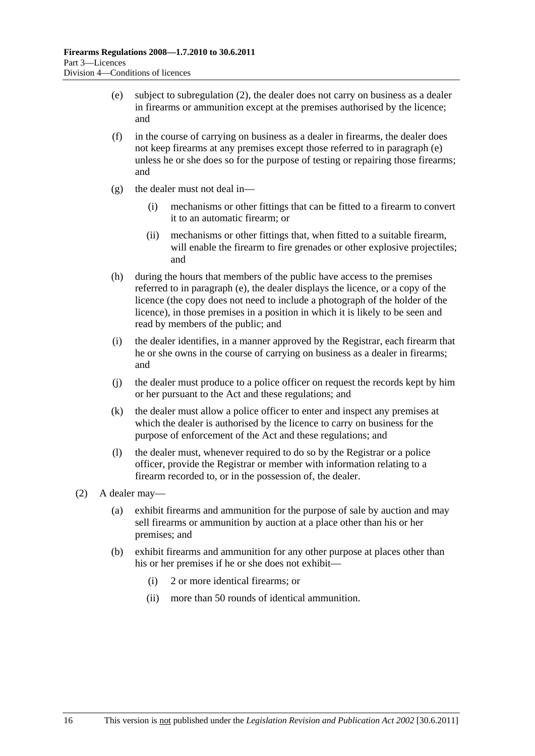- <span id="page-15-0"></span> (e) subject to [subregulation \(2\)](#page-15-0), the dealer does not carry on business as a dealer in firearms or ammunition except at the premises authorised by the licence; and
- (f) in the course of carrying on business as a dealer in firearms, the dealer does not keep firearms at any premises except those referred to in [paragraph \(e\)](#page-15-0)  unless he or she does so for the purpose of testing or repairing those firearms; and
- (g) the dealer must not deal in—
	- (i) mechanisms or other fittings that can be fitted to a firearm to convert it to an automatic firearm; or
	- (ii) mechanisms or other fittings that, when fitted to a suitable firearm, will enable the firearm to fire grenades or other explosive projectiles; and
- (h) during the hours that members of the public have access to the premises referred to in [paragraph \(e\),](#page-15-0) the dealer displays the licence, or a copy of the licence (the copy does not need to include a photograph of the holder of the licence), in those premises in a position in which it is likely to be seen and read by members of the public; and
- (i) the dealer identifies, in a manner approved by the Registrar, each firearm that he or she owns in the course of carrying on business as a dealer in firearms; and
- (j) the dealer must produce to a police officer on request the records kept by him or her pursuant to the Act and these regulations; and
- (k) the dealer must allow a police officer to enter and inspect any premises at which the dealer is authorised by the licence to carry on business for the purpose of enforcement of the Act and these regulations; and
- (l) the dealer must, whenever required to do so by the Registrar or a police officer, provide the Registrar or member with information relating to a firearm recorded to, or in the possession of, the dealer.
- (2) A dealer may—
	- (a) exhibit firearms and ammunition for the purpose of sale by auction and may sell firearms or ammunition by auction at a place other than his or her premises; and
	- (b) exhibit firearms and ammunition for any other purpose at places other than his or her premises if he or she does not exhibit—
		- (i) 2 or more identical firearms; or
		- (ii) more than 50 rounds of identical ammunition.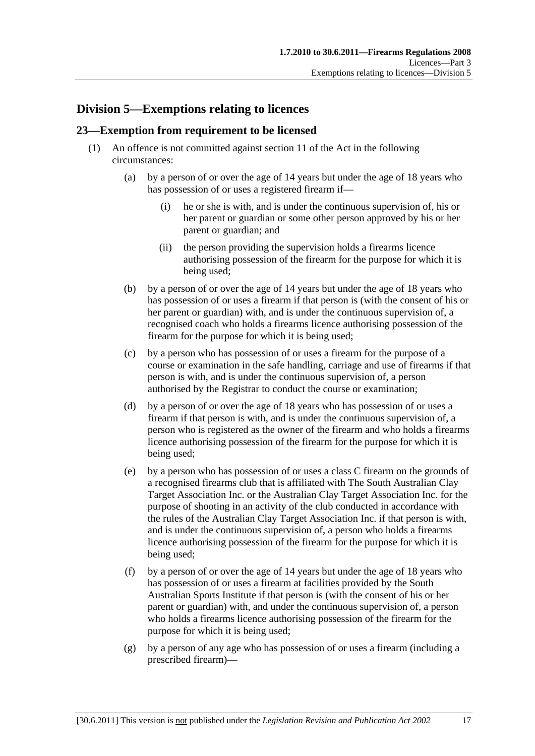# <span id="page-16-0"></span>**Division 5—Exemptions relating to licences**

# **23—Exemption from requirement to be licensed**

- (1) An offence is not committed against section 11 of the Act in the following circumstances:
	- (a) by a person of or over the age of 14 years but under the age of 18 years who has possession of or uses a registered firearm if—
		- (i) he or she is with, and is under the continuous supervision of, his or her parent or guardian or some other person approved by his or her parent or guardian; and
		- (ii) the person providing the supervision holds a firearms licence authorising possession of the firearm for the purpose for which it is being used;
	- (b) by a person of or over the age of 14 years but under the age of 18 years who has possession of or uses a firearm if that person is (with the consent of his or her parent or guardian) with, and is under the continuous supervision of, a recognised coach who holds a firearms licence authorising possession of the firearm for the purpose for which it is being used;
	- (c) by a person who has possession of or uses a firearm for the purpose of a course or examination in the safe handling, carriage and use of firearms if that person is with, and is under the continuous supervision of, a person authorised by the Registrar to conduct the course or examination;
	- (d) by a person of or over the age of 18 years who has possession of or uses a firearm if that person is with, and is under the continuous supervision of, a person who is registered as the owner of the firearm and who holds a firearms licence authorising possession of the firearm for the purpose for which it is being used;
	- (e) by a person who has possession of or uses a class C firearm on the grounds of a recognised firearms club that is affiliated with The South Australian Clay Target Association Inc. or the Australian Clay Target Association Inc. for the purpose of shooting in an activity of the club conducted in accordance with the rules of the Australian Clay Target Association Inc. if that person is with, and is under the continuous supervision of, a person who holds a firearms licence authorising possession of the firearm for the purpose for which it is being used;
	- (f) by a person of or over the age of 14 years but under the age of 18 years who has possession of or uses a firearm at facilities provided by the South Australian Sports Institute if that person is (with the consent of his or her parent or guardian) with, and under the continuous supervision of, a person who holds a firearms licence authorising possession of the firearm for the purpose for which it is being used;
	- (g) by a person of any age who has possession of or uses a firearm (including a prescribed firearm)—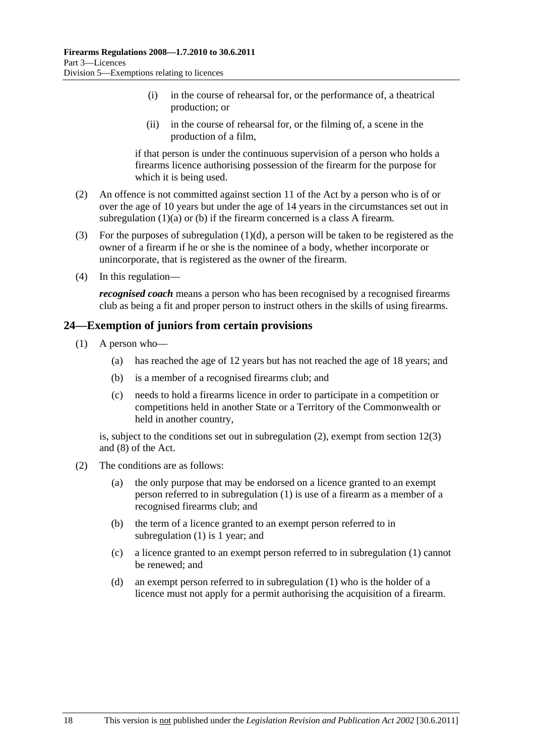- <span id="page-17-0"></span> (i) in the course of rehearsal for, or the performance of, a theatrical production; or
- (ii) in the course of rehearsal for, or the filming of, a scene in the production of a film,

if that person is under the continuous supervision of a person who holds a firearms licence authorising possession of the firearm for the purpose for which it is being used.

- (2) An offence is not committed against section 11 of the Act by a person who is of or over the age of 10 years but under the age of 14 years in the circumstances set out in [subregulation \(1\)\(a\)](#page-16-0) or [\(b\)](#page-16-0) if the firearm concerned is a class A firearm.
- (3) For the purposes of subregulation  $(1)(d)$ , a person will be taken to be registered as the owner of a firearm if he or she is the nominee of a body, whether incorporate or unincorporate, that is registered as the owner of the firearm.
- (4) In this regulation—

*recognised coach* means a person who has been recognised by a recognised firearms club as being a fit and proper person to instruct others in the skills of using firearms.

# **24—Exemption of juniors from certain provisions**

- (1) A person who—
	- (a) has reached the age of 12 years but has not reached the age of 18 years; and
	- (b) is a member of a recognised firearms club; and
	- (c) needs to hold a firearms licence in order to participate in a competition or competitions held in another State or a Territory of the Commonwealth or held in another country,

is, subject to the conditions set out in [subregulation \(2\)](#page-17-0), exempt from section 12(3) and (8) of the Act.

- (2) The conditions are as follows:
	- (a) the only purpose that may be endorsed on a licence granted to an exempt person referred to in [subregulation \(1\)](#page-17-0) is use of a firearm as a member of a recognised firearms club; and
	- (b) the term of a licence granted to an exempt person referred to in [subregulation \(1\)](#page-17-0) is 1 year; and
	- (c) a licence granted to an exempt person referred to in [subregulation \(1\)](#page-17-0) cannot be renewed; and
	- (d) an exempt person referred to in [subregulation \(1\)](#page-17-0) who is the holder of a licence must not apply for a permit authorising the acquisition of a firearm.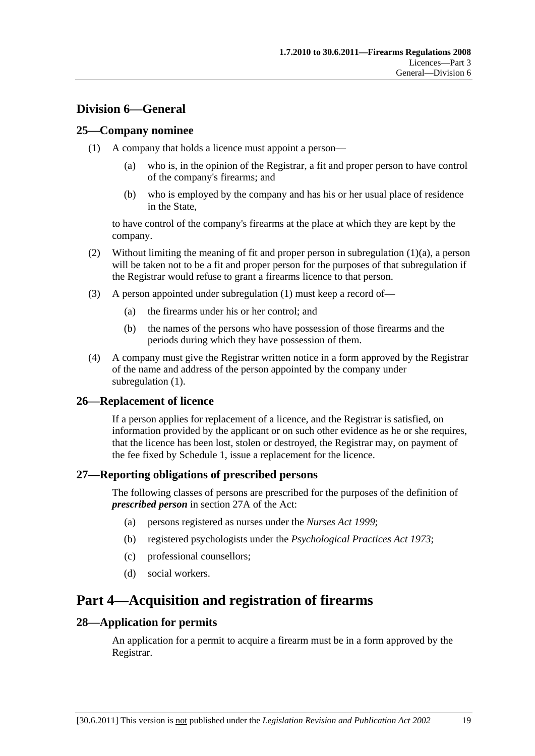# <span id="page-18-0"></span>**Division 6—General**

# **25—Company nominee**

- (1) A company that holds a licence must appoint a person—
	- (a) who is, in the opinion of the Registrar, a fit and proper person to have control of the company's firearms; and
	- (b) who is employed by the company and has his or her usual place of residence in the State,

to have control of the company's firearms at the place at which they are kept by the company.

- (2) Without limiting the meaning of fit and proper person in [subregulation \(1\)\(a\),](#page-18-0) a person will be taken not to be a fit and proper person for the purposes of that subregulation if the Registrar would refuse to grant a firearms licence to that person.
- (3) A person appointed under [subregulation \(1\)](#page-18-0) must keep a record of—
	- (a) the firearms under his or her control; and
	- (b) the names of the persons who have possession of those firearms and the periods during which they have possession of them.
- (4) A company must give the Registrar written notice in a form approved by the Registrar of the name and address of the person appointed by the company under [subregulation \(1\).](#page-18-0)

# **26—Replacement of licence**

If a person applies for replacement of a licence, and the Registrar is satisfied, on information provided by the applicant or on such other evidence as he or she requires, that the licence has been lost, stolen or destroyed, the Registrar may, on payment of the fee fixed by [Schedule 1](#page-28-0), issue a replacement for the licence.

# **27—Reporting obligations of prescribed persons**

The following classes of persons are prescribed for the purposes of the definition of *prescribed person* in section 27A of the Act:

- (a) persons registered as nurses under the *[Nurses Act 1999](http://www.legislation.sa.gov.au/index.aspx?action=legref&type=act&legtitle=Nurses%20Act%201999)*;
- (b) registered psychologists under the *[Psychological Practices Act 1973](http://www.legislation.sa.gov.au/index.aspx?action=legref&type=act&legtitle=Psychological%20Practices%20Act%201973)*;
- (c) professional counsellors;
- (d) social workers.

# **Part 4—Acquisition and registration of firearms**

# **28—Application for permits**

An application for a permit to acquire a firearm must be in a form approved by the Registrar.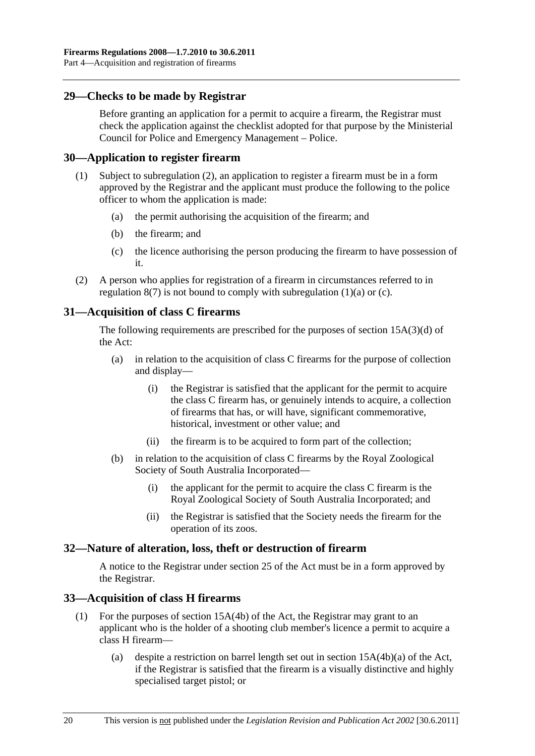# <span id="page-19-0"></span>**29—Checks to be made by Registrar**

Before granting an application for a permit to acquire a firearm, the Registrar must check the application against the checklist adopted for that purpose by the Ministerial Council for Police and Emergency Management – Police.

#### **30—Application to register firearm**

- (1) Subject to [subregulation \(2\),](#page-19-0) an application to register a firearm must be in a form approved by the Registrar and the applicant must produce the following to the police officer to whom the application is made:
	- (a) the permit authorising the acquisition of the firearm; and
	- (b) the firearm; and
	- (c) the licence authorising the person producing the firearm to have possession of it.
- (2) A person who applies for registration of a firearm in circumstances referred to in regulation  $8(7)$  is not bound to comply with subregulation  $(1)(a)$  or  $(c)$ .

# **31—Acquisition of class C firearms**

The following requirements are prescribed for the purposes of section 15A(3)(d) of the Act:

- (a) in relation to the acquisition of class C firearms for the purpose of collection and display—
	- (i) the Registrar is satisfied that the applicant for the permit to acquire the class C firearm has, or genuinely intends to acquire, a collection of firearms that has, or will have, significant commemorative, historical, investment or other value; and
	- (ii) the firearm is to be acquired to form part of the collection;
- (b) in relation to the acquisition of class C firearms by the Royal Zoological Society of South Australia Incorporated—
	- (i) the applicant for the permit to acquire the class C firearm is the Royal Zoological Society of South Australia Incorporated; and
	- (ii) the Registrar is satisfied that the Society needs the firearm for the operation of its zoos.

# **32—Nature of alteration, loss, theft or destruction of firearm**

A notice to the Registrar under section 25 of the Act must be in a form approved by the Registrar.

# **33—Acquisition of class H firearms**

- (1) For the purposes of section 15A(4b) of the Act, the Registrar may grant to an applicant who is the holder of a shooting club member's licence a permit to acquire a class H firearm—
	- (a) despite a restriction on barrel length set out in section 15A(4b)(a) of the Act, if the Registrar is satisfied that the firearm is a visually distinctive and highly specialised target pistol; or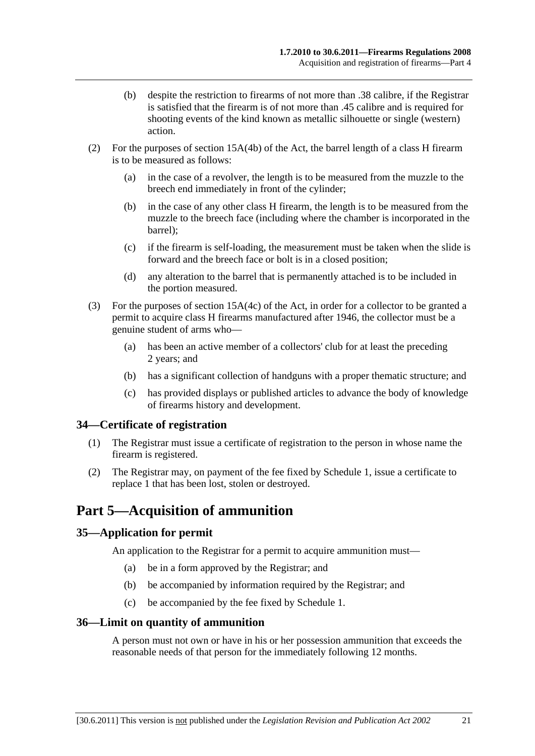- <span id="page-20-0"></span> (b) despite the restriction to firearms of not more than .38 calibre, if the Registrar is satisfied that the firearm is of not more than .45 calibre and is required for shooting events of the kind known as metallic silhouette or single (western) action.
- (2) For the purposes of section 15A(4b) of the Act, the barrel length of a class H firearm is to be measured as follows:
	- (a) in the case of a revolver, the length is to be measured from the muzzle to the breech end immediately in front of the cylinder;
	- (b) in the case of any other class H firearm, the length is to be measured from the muzzle to the breech face (including where the chamber is incorporated in the barrel);
	- (c) if the firearm is self-loading, the measurement must be taken when the slide is forward and the breech face or bolt is in a closed position;
	- (d) any alteration to the barrel that is permanently attached is to be included in the portion measured.
- (3) For the purposes of section 15A(4c) of the Act, in order for a collector to be granted a permit to acquire class H firearms manufactured after 1946, the collector must be a genuine student of arms who—
	- (a) has been an active member of a collectors' club for at least the preceding 2 years; and
	- (b) has a significant collection of handguns with a proper thematic structure; and
	- (c) has provided displays or published articles to advance the body of knowledge of firearms history and development.

# **34—Certificate of registration**

- (1) The Registrar must issue a certificate of registration to the person in whose name the firearm is registered.
- (2) The Registrar may, on payment of the fee fixed by [Schedule 1,](#page-28-0) issue a certificate to replace 1 that has been lost, stolen or destroyed.

# **Part 5—Acquisition of ammunition**

# **35—Application for permit**

An application to the Registrar for a permit to acquire ammunition must—

- (a) be in a form approved by the Registrar; and
- (b) be accompanied by information required by the Registrar; and
- (c) be accompanied by the fee fixed by [Schedule 1.](#page-28-0)

#### **36—Limit on quantity of ammunition**

A person must not own or have in his or her possession ammunition that exceeds the reasonable needs of that person for the immediately following 12 months.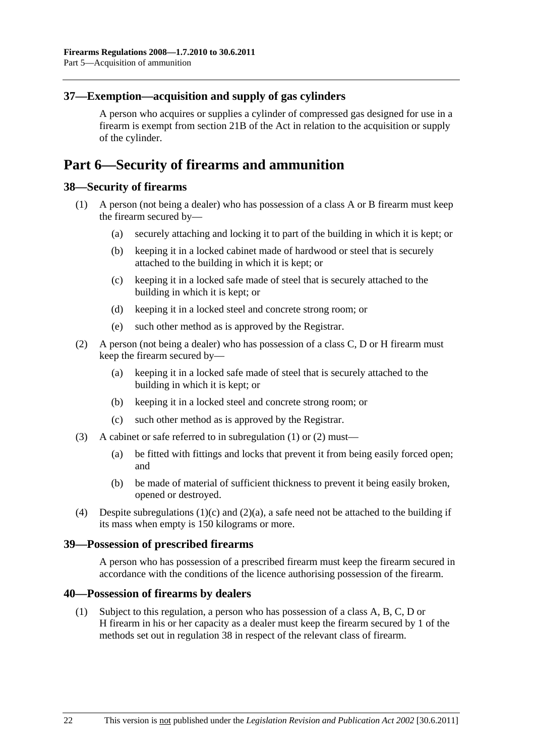# <span id="page-21-0"></span>**37—Exemption—acquisition and supply of gas cylinders**

A person who acquires or supplies a cylinder of compressed gas designed for use in a firearm is exempt from section 21B of the Act in relation to the acquisition or supply of the cylinder.

# **Part 6—Security of firearms and ammunition**

# **38—Security of firearms**

- (1) A person (not being a dealer) who has possession of a class A or B firearm must keep the firearm secured by—
	- (a) securely attaching and locking it to part of the building in which it is kept; or
	- (b) keeping it in a locked cabinet made of hardwood or steel that is securely attached to the building in which it is kept; or
	- (c) keeping it in a locked safe made of steel that is securely attached to the building in which it is kept; or
	- (d) keeping it in a locked steel and concrete strong room; or
	- (e) such other method as is approved by the Registrar.
- (2) A person (not being a dealer) who has possession of a class C, D or H firearm must keep the firearm secured by—
	- (a) keeping it in a locked safe made of steel that is securely attached to the building in which it is kept; or
	- (b) keeping it in a locked steel and concrete strong room; or
	- (c) such other method as is approved by the Registrar.
- (3) A cabinet or safe referred to in [subregulation \(1\)](#page-21-0) or [\(2\)](#page-21-0) must—
	- (a) be fitted with fittings and locks that prevent it from being easily forced open; and
	- (b) be made of material of sufficient thickness to prevent it being easily broken, opened or destroyed.
- (4) Despite subregulations  $(1)(c)$  and  $(2)(a)$ , a safe need not be attached to the building if its mass when empty is 150 kilograms or more.

#### **39—Possession of prescribed firearms**

A person who has possession of a prescribed firearm must keep the firearm secured in accordance with the conditions of the licence authorising possession of the firearm.

#### **40—Possession of firearms by dealers**

 (1) Subject to this regulation, a person who has possession of a class A, B, C, D or H firearm in his or her capacity as a dealer must keep the firearm secured by 1 of the methods set out in [regulation 38](#page-21-0) in respect of the relevant class of firearm.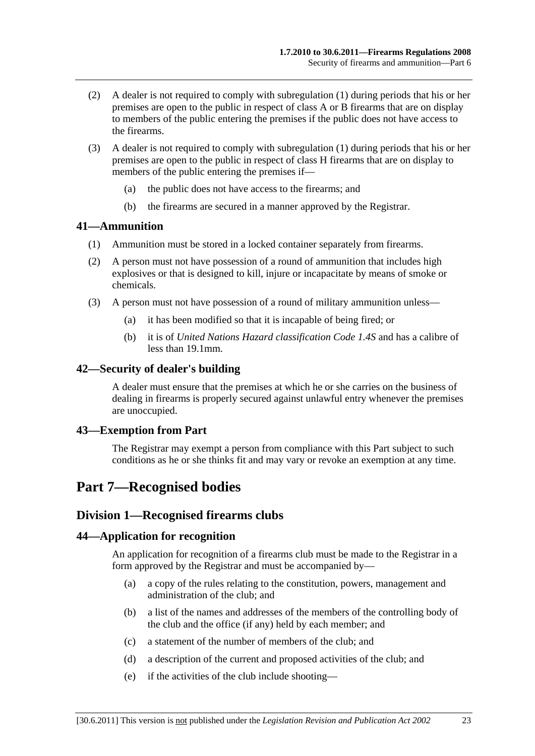- <span id="page-22-0"></span> (2) A dealer is not required to comply with [subregulation \(1\)](#page-21-0) during periods that his or her premises are open to the public in respect of class A or B firearms that are on display to members of the public entering the premises if the public does not have access to the firearms.
- (3) A dealer is not required to comply with [subregulation \(1\)](#page-21-0) during periods that his or her premises are open to the public in respect of class H firearms that are on display to members of the public entering the premises if—
	- (a) the public does not have access to the firearms; and
	- (b) the firearms are secured in a manner approved by the Registrar.

### **41—Ammunition**

- (1) Ammunition must be stored in a locked container separately from firearms.
- (2) A person must not have possession of a round of ammunition that includes high explosives or that is designed to kill, injure or incapacitate by means of smoke or chemicals.
- (3) A person must not have possession of a round of military ammunition unless—
	- (a) it has been modified so that it is incapable of being fired; or
	- (b) it is of *United Nations Hazard classification Code 1.4S* and has a calibre of less than 19.1mm.

#### **42—Security of dealer's building**

A dealer must ensure that the premises at which he or she carries on the business of dealing in firearms is properly secured against unlawful entry whenever the premises are unoccupied.

#### **43—Exemption from Part**

The Registrar may exempt a person from compliance with this Part subject to such conditions as he or she thinks fit and may vary or revoke an exemption at any time.

# **Part 7—Recognised bodies**

# **Division 1—Recognised firearms clubs**

#### **44—Application for recognition**

An application for recognition of a firearms club must be made to the Registrar in a form approved by the Registrar and must be accompanied by—

- (a) a copy of the rules relating to the constitution, powers, management and administration of the club; and
- (b) a list of the names and addresses of the members of the controlling body of the club and the office (if any) held by each member; and
- (c) a statement of the number of members of the club; and
- (d) a description of the current and proposed activities of the club; and
- (e) if the activities of the club include shooting—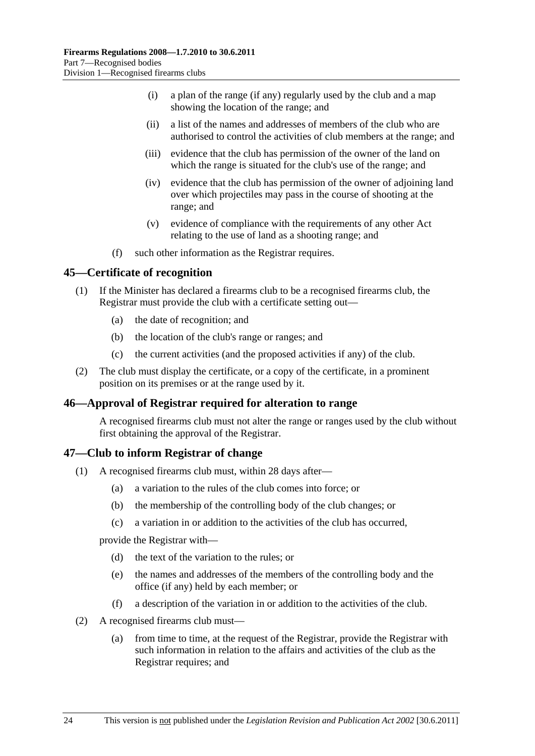- <span id="page-23-0"></span> (i) a plan of the range (if any) regularly used by the club and a map showing the location of the range; and
- (ii) a list of the names and addresses of members of the club who are authorised to control the activities of club members at the range; and
- (iii) evidence that the club has permission of the owner of the land on which the range is situated for the club's use of the range; and
- (iv) evidence that the club has permission of the owner of adjoining land over which projectiles may pass in the course of shooting at the range; and
- (v) evidence of compliance with the requirements of any other Act relating to the use of land as a shooting range; and
- (f) such other information as the Registrar requires.

#### **45—Certificate of recognition**

- (1) If the Minister has declared a firearms club to be a recognised firearms club, the Registrar must provide the club with a certificate setting out—
	- (a) the date of recognition; and
	- (b) the location of the club's range or ranges; and
	- (c) the current activities (and the proposed activities if any) of the club.
- (2) The club must display the certificate, or a copy of the certificate, in a prominent position on its premises or at the range used by it.

# **46—Approval of Registrar required for alteration to range**

A recognised firearms club must not alter the range or ranges used by the club without first obtaining the approval of the Registrar.

#### **47—Club to inform Registrar of change**

- (1) A recognised firearms club must, within 28 days after—
	- (a) a variation to the rules of the club comes into force; or
	- (b) the membership of the controlling body of the club changes; or
	- (c) a variation in or addition to the activities of the club has occurred,

provide the Registrar with—

- (d) the text of the variation to the rules; or
- (e) the names and addresses of the members of the controlling body and the office (if any) held by each member; or
- (f) a description of the variation in or addition to the activities of the club.
- (2) A recognised firearms club must—
	- (a) from time to time, at the request of the Registrar, provide the Registrar with such information in relation to the affairs and activities of the club as the Registrar requires; and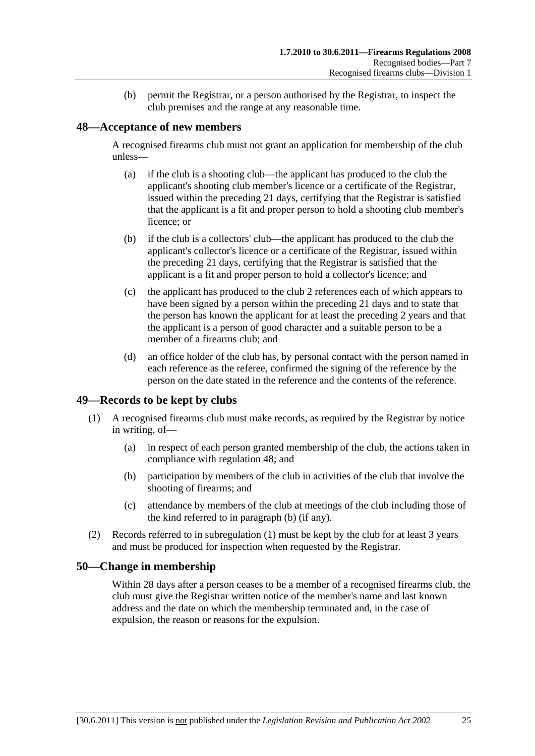(b) permit the Registrar, or a person authorised by the Registrar, to inspect the club premises and the range at any reasonable time.

### <span id="page-24-0"></span>**48—Acceptance of new members**

A recognised firearms club must not grant an application for membership of the club unless—

- (a) if the club is a shooting club—the applicant has produced to the club the applicant's shooting club member's licence or a certificate of the Registrar, issued within the preceding 21 days, certifying that the Registrar is satisfied that the applicant is a fit and proper person to hold a shooting club member's licence; or
- (b) if the club is a collectors' club—the applicant has produced to the club the applicant's collector's licence or a certificate of the Registrar, issued within the preceding 21 days, certifying that the Registrar is satisfied that the applicant is a fit and proper person to hold a collector's licence; and
- (c) the applicant has produced to the club 2 references each of which appears to have been signed by a person within the preceding 21 days and to state that the person has known the applicant for at least the preceding 2 years and that the applicant is a person of good character and a suitable person to be a member of a firearms club; and
- (d) an office holder of the club has, by personal contact with the person named in each reference as the referee, confirmed the signing of the reference by the person on the date stated in the reference and the contents of the reference.

# **49—Records to be kept by clubs**

- (1) A recognised firearms club must make records, as required by the Registrar by notice in writing, of—
	- (a) in respect of each person granted membership of the club, the actions taken in compliance with [regulation 48;](#page-24-0) and
	- (b) participation by members of the club in activities of the club that involve the shooting of firearms; and
	- (c) attendance by members of the club at meetings of the club including those of the kind referred to in [paragraph \(b\)](#page-24-0) (if any).
- (2) Records referred to in [subregulation \(1\)](#page-24-0) must be kept by the club for at least 3 years and must be produced for inspection when requested by the Registrar.

#### **50—Change in membership**

Within 28 days after a person ceases to be a member of a recognised firearms club, the club must give the Registrar written notice of the member's name and last known address and the date on which the membership terminated and, in the case of expulsion, the reason or reasons for the expulsion.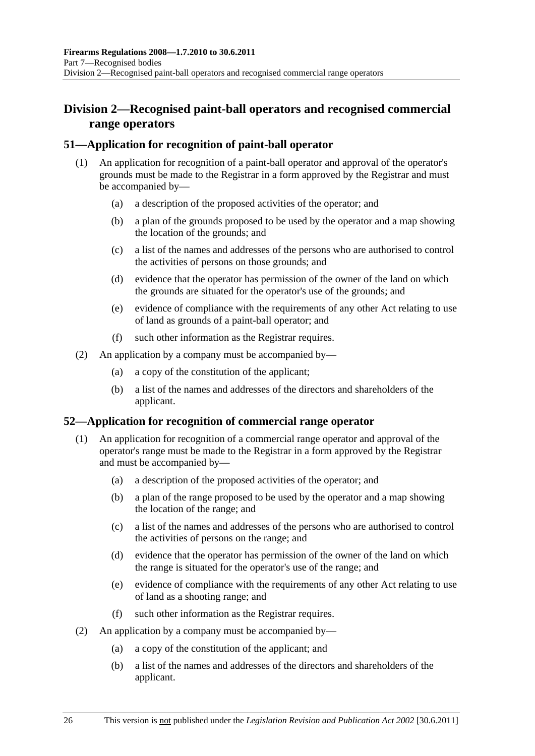# <span id="page-25-0"></span>**Division 2—Recognised paint-ball operators and recognised commercial range operators**

# **51—Application for recognition of paint-ball operator**

- (1) An application for recognition of a paint-ball operator and approval of the operator's grounds must be made to the Registrar in a form approved by the Registrar and must be accompanied by—
	- (a) a description of the proposed activities of the operator; and
	- (b) a plan of the grounds proposed to be used by the operator and a map showing the location of the grounds; and
	- (c) a list of the names and addresses of the persons who are authorised to control the activities of persons on those grounds; and
	- (d) evidence that the operator has permission of the owner of the land on which the grounds are situated for the operator's use of the grounds; and
	- (e) evidence of compliance with the requirements of any other Act relating to use of land as grounds of a paint-ball operator; and
	- (f) such other information as the Registrar requires.
- (2) An application by a company must be accompanied by—
	- (a) a copy of the constitution of the applicant;
	- (b) a list of the names and addresses of the directors and shareholders of the applicant.

# **52—Application for recognition of commercial range operator**

- (1) An application for recognition of a commercial range operator and approval of the operator's range must be made to the Registrar in a form approved by the Registrar and must be accompanied by—
	- (a) a description of the proposed activities of the operator; and
	- (b) a plan of the range proposed to be used by the operator and a map showing the location of the range; and
	- (c) a list of the names and addresses of the persons who are authorised to control the activities of persons on the range; and
	- (d) evidence that the operator has permission of the owner of the land on which the range is situated for the operator's use of the range; and
	- (e) evidence of compliance with the requirements of any other Act relating to use of land as a shooting range; and
	- (f) such other information as the Registrar requires.
- (2) An application by a company must be accompanied by—
	- (a) a copy of the constitution of the applicant; and
	- (b) a list of the names and addresses of the directors and shareholders of the applicant.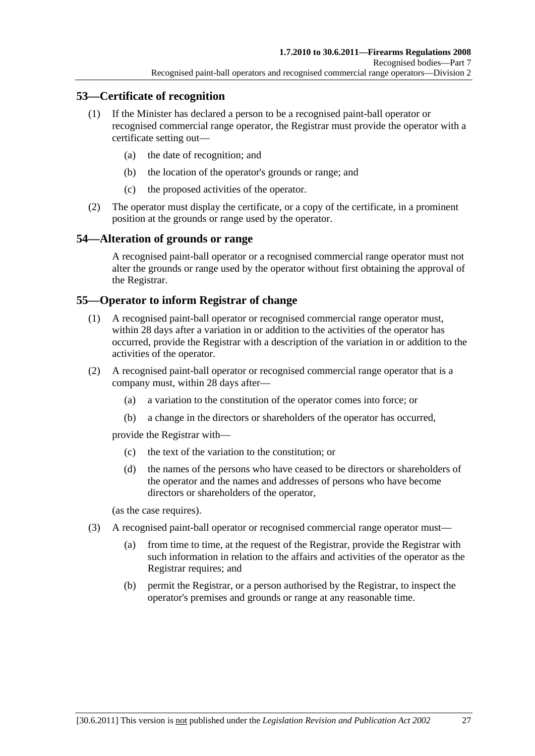# <span id="page-26-0"></span>**53—Certificate of recognition**

- (1) If the Minister has declared a person to be a recognised paint-ball operator or recognised commercial range operator, the Registrar must provide the operator with a certificate setting out—
	- (a) the date of recognition; and
	- (b) the location of the operator's grounds or range; and
	- (c) the proposed activities of the operator.
- (2) The operator must display the certificate, or a copy of the certificate, in a prominent position at the grounds or range used by the operator.

# **54—Alteration of grounds or range**

A recognised paint-ball operator or a recognised commercial range operator must not alter the grounds or range used by the operator without first obtaining the approval of the Registrar.

#### **55—Operator to inform Registrar of change**

- (1) A recognised paint-ball operator or recognised commercial range operator must, within 28 days after a variation in or addition to the activities of the operator has occurred, provide the Registrar with a description of the variation in or addition to the activities of the operator.
- (2) A recognised paint-ball operator or recognised commercial range operator that is a company must, within 28 days after—
	- (a) a variation to the constitution of the operator comes into force; or
	- (b) a change in the directors or shareholders of the operator has occurred,

provide the Registrar with—

- (c) the text of the variation to the constitution; or
- (d) the names of the persons who have ceased to be directors or shareholders of the operator and the names and addresses of persons who have become directors or shareholders of the operator,

(as the case requires).

- (3) A recognised paint-ball operator or recognised commercial range operator must—
	- (a) from time to time, at the request of the Registrar, provide the Registrar with such information in relation to the affairs and activities of the operator as the Registrar requires; and
	- (b) permit the Registrar, or a person authorised by the Registrar, to inspect the operator's premises and grounds or range at any reasonable time.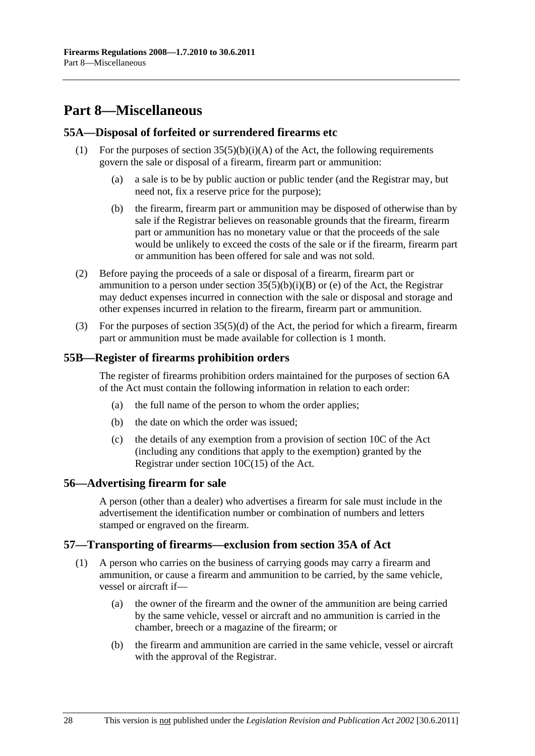# <span id="page-27-0"></span>**Part 8—Miscellaneous**

#### **55A—Disposal of forfeited or surrendered firearms etc**

- (1) For the purposes of section  $35(5)(b)(i)(A)$  of the Act, the following requirements govern the sale or disposal of a firearm, firearm part or ammunition:
	- (a) a sale is to be by public auction or public tender (and the Registrar may, but need not, fix a reserve price for the purpose);
	- (b) the firearm, firearm part or ammunition may be disposed of otherwise than by sale if the Registrar believes on reasonable grounds that the firearm, firearm part or ammunition has no monetary value or that the proceeds of the sale would be unlikely to exceed the costs of the sale or if the firearm, firearm part or ammunition has been offered for sale and was not sold.
- (2) Before paying the proceeds of a sale or disposal of a firearm, firearm part or ammunition to a person under section  $35(5)(b)(i)(B)$  or (e) of the Act, the Registrar may deduct expenses incurred in connection with the sale or disposal and storage and other expenses incurred in relation to the firearm, firearm part or ammunition.
- (3) For the purposes of section  $35(5)(d)$  of the Act, the period for which a firearm, firearm part or ammunition must be made available for collection is 1 month.

#### **55B—Register of firearms prohibition orders**

The register of firearms prohibition orders maintained for the purposes of section 6A of the Act must contain the following information in relation to each order:

- (a) the full name of the person to whom the order applies;
- (b) the date on which the order was issued;
- (c) the details of any exemption from a provision of section 10C of the Act (including any conditions that apply to the exemption) granted by the Registrar under section 10C(15) of the Act.

#### **56—Advertising firearm for sale**

A person (other than a dealer) who advertises a firearm for sale must include in the advertisement the identification number or combination of numbers and letters stamped or engraved on the firearm.

#### **57—Transporting of firearms—exclusion from section 35A of Act**

- (1) A person who carries on the business of carrying goods may carry a firearm and ammunition, or cause a firearm and ammunition to be carried, by the same vehicle, vessel or aircraft if—
	- (a) the owner of the firearm and the owner of the ammunition are being carried by the same vehicle, vessel or aircraft and no ammunition is carried in the chamber, breech or a magazine of the firearm; or
	- (b) the firearm and ammunition are carried in the same vehicle, vessel or aircraft with the approval of the Registrar.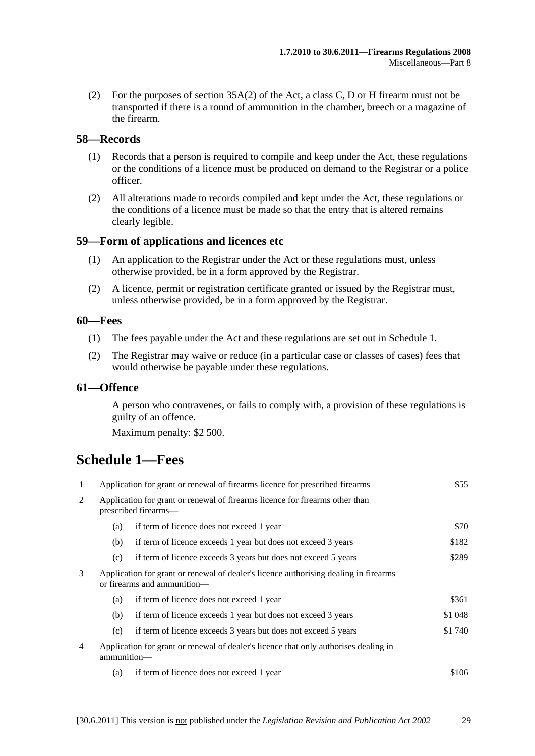<span id="page-28-0"></span> (2) For the purposes of section 35A(2) of the Act, a class C, D or H firearm must not be transported if there is a round of ammunition in the chamber, breech or a magazine of the firearm.

#### **58—Records**

- (1) Records that a person is required to compile and keep under the Act, these regulations or the conditions of a licence must be produced on demand to the Registrar or a police officer.
- (2) All alterations made to records compiled and kept under the Act, these regulations or the conditions of a licence must be made so that the entry that is altered remains clearly legible.

#### **59—Form of applications and licences etc**

- (1) An application to the Registrar under the Act or these regulations must, unless otherwise provided, be in a form approved by the Registrar.
- (2) A licence, permit or registration certificate granted or issued by the Registrar must, unless otherwise provided, be in a form approved by the Registrar.

#### **60—Fees**

- (1) The fees payable under the Act and these regulations are set out in [Schedule 1.](#page-28-0)
- (2) The Registrar may waive or reduce (in a particular case or classes of cases) fees that would otherwise be payable under these regulations.

#### **61—Offence**

A person who contravenes, or fails to comply with, a provision of these regulations is guilty of an offence.

Maximum penalty: \$2 500.

# **Schedule 1—Fees**

| 1              | Application for grant or renewal of firearms licence for prescribed firearms                                        |                                                                | \$55    |
|----------------|---------------------------------------------------------------------------------------------------------------------|----------------------------------------------------------------|---------|
| 2              | Application for grant or renewal of firearms licence for firearms other than<br>prescribed firearms—                |                                                                |         |
|                | (a)                                                                                                                 | if term of licence does not exceed 1 year                      | \$70    |
|                | (b)                                                                                                                 | if term of licence exceeds 1 year but does not exceed 3 years  | \$182   |
|                | (c)                                                                                                                 | if term of licence exceeds 3 years but does not exceed 5 years | \$289   |
| 3              | Application for grant or renewal of dealer's licence authorising dealing in firearms<br>or firearms and ammunition— |                                                                |         |
|                | (a)                                                                                                                 | if term of licence does not exceed 1 year                      | \$361   |
|                | (b)                                                                                                                 | if term of licence exceeds 1 year but does not exceed 3 years  | \$1 048 |
|                | (c)                                                                                                                 | if term of licence exceeds 3 years but does not exceed 5 years | \$1 740 |
| $\overline{4}$ | Application for grant or renewal of dealer's licence that only authorises dealing in<br>ammunition-                 |                                                                |         |
|                | (a)                                                                                                                 | if term of licence does not exceed 1 year                      | \$106   |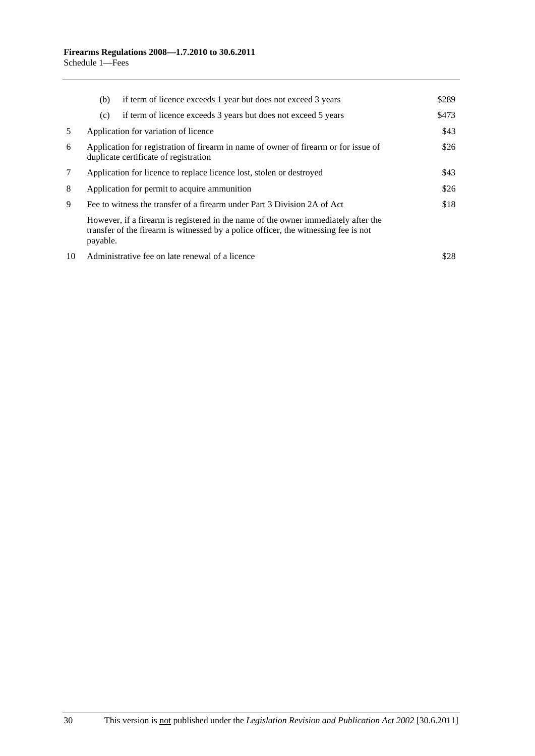|    | (b)                                                                                                                                  | if term of licence exceeds 1 year but does not exceed 3 years                                                                                                             | \$289 |
|----|--------------------------------------------------------------------------------------------------------------------------------------|---------------------------------------------------------------------------------------------------------------------------------------------------------------------------|-------|
|    | (c)                                                                                                                                  | if term of licence exceeds 3 years but does not exceed 5 years                                                                                                            | \$473 |
| 5  | Application for variation of licence                                                                                                 |                                                                                                                                                                           |       |
| 6  | \$26<br>Application for registration of firearm in name of owner of firearm or for issue of<br>duplicate certificate of registration |                                                                                                                                                                           |       |
| 7  | Application for licence to replace licence lost, stolen or destroyed                                                                 |                                                                                                                                                                           | \$43  |
| 8  | Application for permit to acquire ammunition                                                                                         |                                                                                                                                                                           | \$26  |
| 9  | Fee to witness the transfer of a firearm under Part 3 Division 2A of Act                                                             |                                                                                                                                                                           | \$18  |
|    | payable.                                                                                                                             | However, if a firearm is registered in the name of the owner immediately after the<br>transfer of the firearm is witnessed by a police officer, the witnessing fee is not |       |
| 10 |                                                                                                                                      | Administrative fee on late renewal of a licence                                                                                                                           | \$28  |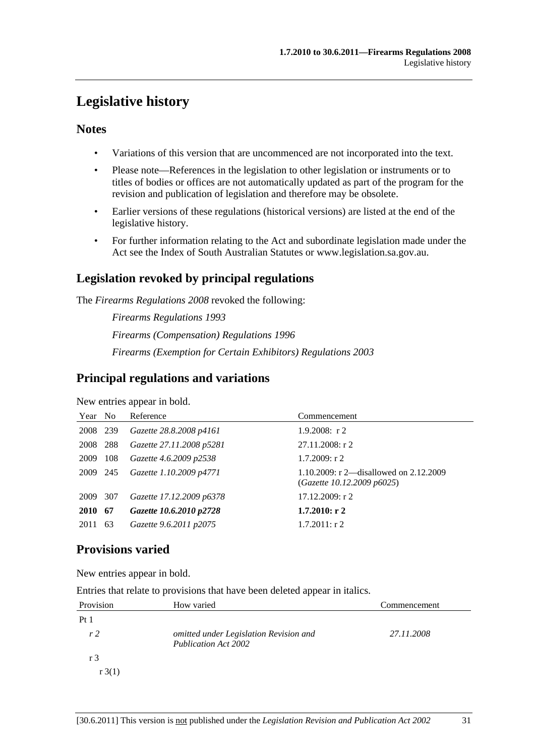# <span id="page-30-0"></span>**Legislative history**

# **Notes**

- Variations of this version that are uncommenced are not incorporated into the text.
- Please note—References in the legislation to other legislation or instruments or to titles of bodies or offices are not automatically updated as part of the program for the revision and publication of legislation and therefore may be obsolete.
- Earlier versions of these regulations (historical versions) are listed at the end of the legislative history.
- For further information relating to the Act and subordinate legislation made under the Act see the Index of South Australian Statutes or www.legislation.sa.gov.au.

# **Legislation revoked by principal regulations**

The *Firearms Regulations 2008* revoked the following:

*Firearms Regulations 1993 Firearms (Compensation) Regulations 1996 Firearms (Exemption for Certain Exhibitors) Regulations 2003*

# **Principal regulations and variations**

New entries appear in bold.

| Year No     |       | Reference                | Commencement                                                           |
|-------------|-------|--------------------------|------------------------------------------------------------------------|
| 2008 239    |       | Gazette 28.8.2008 p4161  | $1.9.2008$ : r 2                                                       |
| 2008        | 288   | Gazette 27.11.2008 p5281 | $27.11.2008$ : r 2                                                     |
| 2009        | - 108 | Gazette 4.6.2009 p2538   | $1.7.2009$ : r 2                                                       |
| 2009 245    |       | Gazette 1.10.2009 p4771  | 1.10.2009: r 2—disallowed on $2.12.2009$<br>(Gazette 10.12.2009 p6025) |
| 2009        | 307   | Gazette 17.12.2009 p6378 | $17.12.2009$ : r 2                                                     |
| <b>2010</b> | -67   | Gazette 10.6.2010 p2728  | $1.7.2010:$ r 2                                                        |
| 2011        | 63    | Gazette 9.6.2011 p2075   | $1.7.2011:$ r 2                                                        |

# **Provisions varied**

New entries appear in bold.

Entries that relate to provisions that have been deleted appear in italics.

| Provision      | How varied                                                            | Commencement |
|----------------|-----------------------------------------------------------------------|--------------|
| Pt1            |                                                                       |              |
| r <sub>2</sub> | omitted under Legislation Revision and<br><b>Publication Act 2002</b> | 27.11.2008   |
| r 3            |                                                                       |              |
| $r \cdot 3(1)$ |                                                                       |              |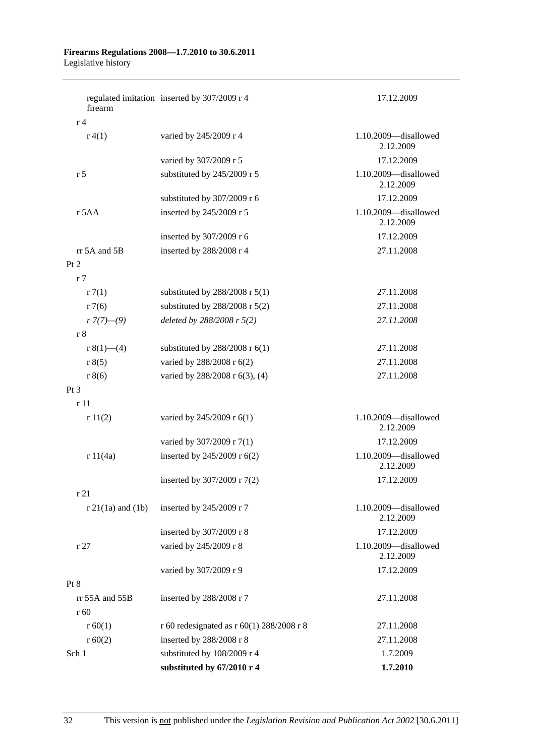#### **Firearms Regulations 2008—1.7.2010 to 30.6.2011**  Legislative history

| firearm               | regulated imitation inserted by 307/2009 r 4 | 17.12.2009                        |
|-----------------------|----------------------------------------------|-----------------------------------|
| r <sub>4</sub>        |                                              |                                   |
| r(4(1))               | varied by 245/2009 r 4                       | 1.10.2009-disallowed<br>2.12.2009 |
|                       | varied by 307/2009 r 5                       | 17.12.2009                        |
| r <sub>5</sub>        | substituted by 245/2009 r 5                  | 1.10.2009-disallowed<br>2.12.2009 |
|                       | substituted by 307/2009 r 6                  | 17.12.2009                        |
| r 5AA                 | inserted by 245/2009 r 5                     | 1.10.2009-disallowed<br>2.12.2009 |
|                       | inserted by 307/2009 r 6                     | 17.12.2009                        |
| rr 5A and 5B          | inserted by 288/2008 r 4                     | 27.11.2008                        |
| Pt 2                  |                                              |                                   |
| r <sub>7</sub>        |                                              |                                   |
| r7(1)                 | substituted by $288/2008$ r $5(1)$           | 27.11.2008                        |
| r7(6)                 | substituted by $288/2008$ r $5(2)$           | 27.11.2008                        |
| $r7(7)$ —(9)          | deleted by 288/2008 r 5(2)                   | 27.11.2008                        |
| r 8                   |                                              |                                   |
| r $8(1)$ —(4)         | substituted by $288/2008$ r $6(1)$           | 27.11.2008                        |
| r 8(5)                | varied by 288/2008 r 6(2)                    | 27.11.2008                        |
| r 8(6)                | varied by 288/2008 r 6(3), (4)               | 27.11.2008                        |
| Pt <sub>3</sub>       |                                              |                                   |
| r11                   |                                              |                                   |
| r11(2)                | varied by 245/2009 r 6(1)                    | 1.10.2009-disallowed<br>2.12.2009 |
|                       | varied by 307/2009 r 7(1)                    | 17.12.2009                        |
| r 11(4a)              | inserted by 245/2009 r 6(2)                  | 1.10.2009-disallowed<br>2.12.2009 |
|                       | inserted by 307/2009 r 7(2)                  | 17.12.2009                        |
| r 21                  |                                              |                                   |
| $r 21(1a)$ and $(1b)$ | inserted by 245/2009 r 7                     | 1.10.2009-disallowed<br>2.12.2009 |
|                       | inserted by 307/2009 r 8                     | 17.12.2009                        |
| r27                   | varied by 245/2009 r 8                       | 1.10.2009-disallowed<br>2.12.2009 |
|                       | varied by 307/2009 r 9                       | 17.12.2009                        |
| Pt 8                  |                                              |                                   |
| rr 55A and 55B        | inserted by 288/2008 r 7                     | 27.11.2008                        |
| r 60                  |                                              |                                   |
| r 60(1)               | r 60 redesignated as r 60(1) 288/2008 r 8    | 27.11.2008                        |
| r 60(2)               | inserted by 288/2008 r 8                     | 27.11.2008                        |
| Sch 1                 | substituted by 108/2009 r 4                  | 1.7.2009                          |
|                       | substituted by 67/2010 r 4                   | 1.7.2010                          |